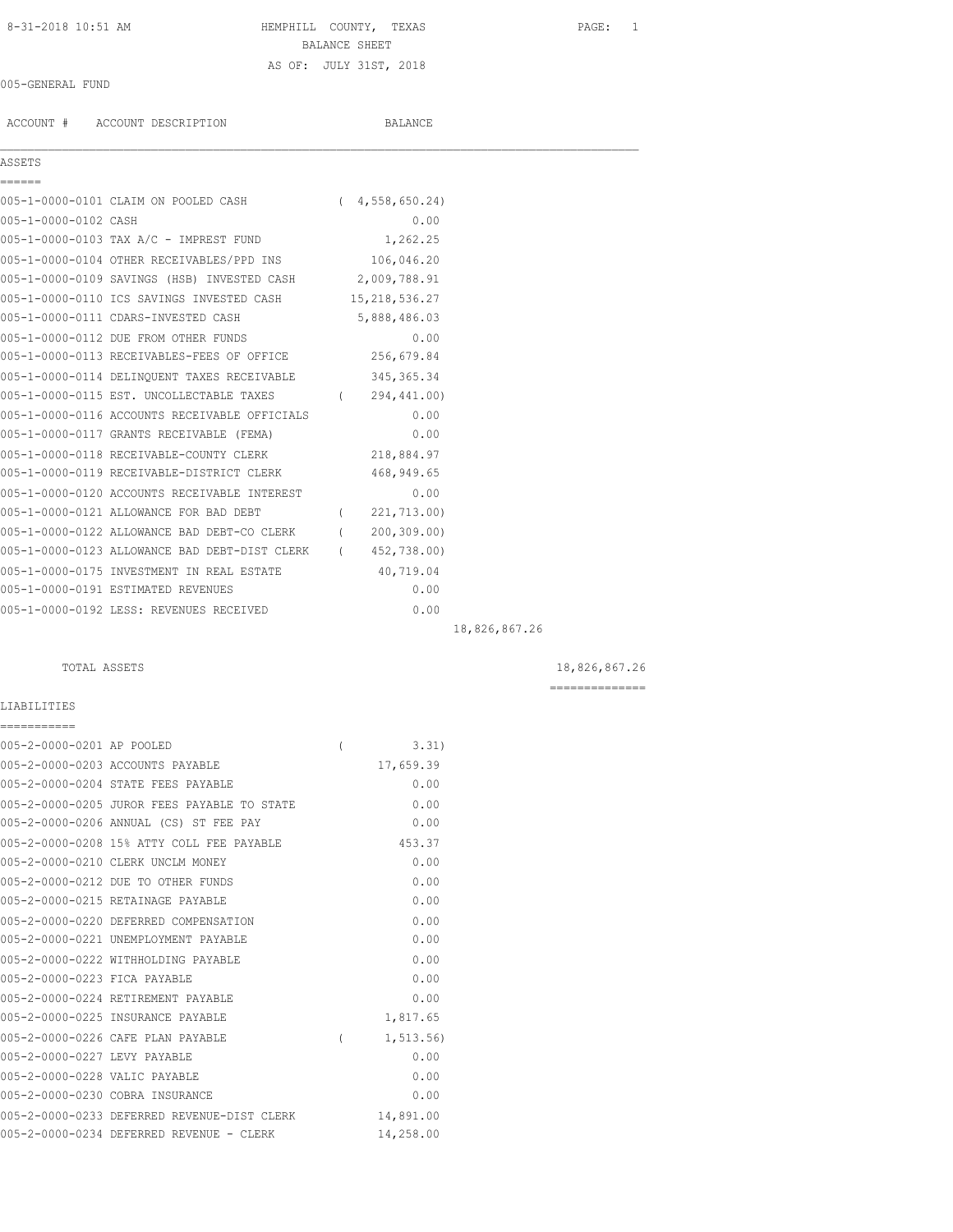## 8-31-2018 10:51 AM HEMPHILL COUNTY, TEXAS PAGE: 1 BALANCE SHEET AS OF: JULY 31ST, 2018

## 005-GENERAL FUND

ACCOUNT # ACCOUNT DESCRIPTION BALANCE

## ASSETS ======

|                      | 005-1-0000-0101 CLAIM ON POOLED CASH        | (4, 558, 650, 24) |
|----------------------|---------------------------------------------|-------------------|
| 005-1-0000-0102 CASH |                                             | 0.00              |
|                      | 005-1-0000-0103 TAX A/C - IMPREST FUND      | 1,262.25          |
|                      | 005-1-0000-0104 OTHER RECEIVABLES/PPD INS   | 106,046.20        |
|                      | 005-1-0000-0109 SAVINGS (HSB) INVESTED CASH | 2,009,788.91      |
|                      | 005-1-0000-0110 ICS SAVINGS INVESTED CASH   | 15, 218, 536.27   |
|                      | 005-1-0000-0111 CDARS-INVESTED CASH         | 5,888,486.03      |
|                      |                                             |                   |

 $\mathcal{L}_\mathcal{L} = \mathcal{L}_\mathcal{L}$ 

| 005-1-0000-0113 RECEIVABLES-FEES OF OFFICE    |          | 256,679.84   |  |
|-----------------------------------------------|----------|--------------|--|
| 005-1-0000-0114 DELINQUENT TAXES RECEIVABLE   |          | 345, 365. 34 |  |
| 005-1-0000-0115 EST. UNCOLLECTABLE TAXES      |          | 294,441.00)  |  |
| 005-1-0000-0116 ACCOUNTS RECEIVABLE OFFICIALS |          | 0.00         |  |
| 005-1-0000-0117 GRANTS RECEIVABLE (FEMA)      |          | 0.00         |  |
| 005-1-0000-0118 RECEIVABLE-COUNTY CLERK       |          | 218,884.97   |  |
| 005-1-0000-0119 RECEIVABLE-DISTRICT CLERK     |          | 468,949.65   |  |
| 005-1-0000-0120 ACCOUNTS RECEIVABLE INTEREST  |          | 0.00         |  |
| 005-1-0000-0121 ALLOWANCE FOR BAD DEBT        |          | 221,713.00)  |  |
| 005-1-0000-0122 ALLOWANCE BAD DEBT-CO CLERK   |          | 200, 309.00  |  |
| 005-1-0000-0123 ALLOWANCE BAD DEBT-DIST CLERK | $\left($ | 452,738.00)  |  |
| 005-1-0000-0175 INVESTMENT IN REAL ESTATE     |          | 40,719.04    |  |
| 005-1-0000-0191 ESTIMATED REVENUES            |          | 0.00         |  |
| 005-1-0000-0192 LESS: REVENUES RECEIVED       |          | 0.00         |  |

005-1-0000-0112 DUE FROM OTHER FUNDS 0.00

18,826,867.26

## TOTAL ASSETS  $18,826,867.26$

==============

# LIABILITIES

| ===========                   |                                             |                |           |
|-------------------------------|---------------------------------------------|----------------|-----------|
| 005-2-0000-0201 AP POOLED     |                                             | $\overline{ }$ | 3.31      |
|                               | 005-2-0000-0203 ACCOUNTS PAYABLE            |                | 17,659.39 |
|                               | 005-2-0000-0204 STATE FEES PAYABLE          |                | 0.00      |
|                               | 005-2-0000-0205 JUROR FEES PAYABLE TO STATE |                | 0.00      |
|                               | 005-2-0000-0206 ANNUAL (CS) ST FEE PAY      |                | 0.00      |
|                               | 005-2-0000-0208 15% ATTY COLL FEE PAYABLE   |                | 453.37    |
|                               | 005-2-0000-0210 CLERK UNCLM MONEY           |                | 0.00      |
|                               | 005-2-0000-0212 DUE TO OTHER FUNDS          |                | 0.00      |
|                               | 005-2-0000-0215 RETAINAGE PAYABLE           |                | 0.00      |
|                               | 005-2-0000-0220 DEFERRED COMPENSATION       |                | 0.00      |
|                               | 005-2-0000-0221 UNEMPLOYMENT PAYABLE        |                | 0.00      |
|                               | 005-2-0000-0222 WITHHOLDING PAYABLE         |                | 0.00      |
| 005-2-0000-0223 FICA PAYABLE  |                                             |                | 0.00      |
|                               | 005-2-0000-0224 RETIREMENT PAYABLE          |                | 0.00      |
|                               | 005-2-0000-0225 INSURANCE PAYABLE           |                | 1,817.65  |
|                               | 005-2-0000-0226 CAFE PLAN PAYABLE           | $\left($       | 1, 513.56 |
| 005-2-0000-0227 LEVY PAYABLE  |                                             |                | 0.00      |
| 005-2-0000-0228 VALIC PAYABLE |                                             |                | 0.00      |
|                               | 005-2-0000-0230 COBRA INSURANCE             |                | 0.00      |
|                               | 005-2-0000-0233 DEFERRED REVENUE-DIST CLERK |                | 14,891.00 |
|                               | 005-2-0000-0234 DEFERRED REVENUE - CLERK    |                | 14,258.00 |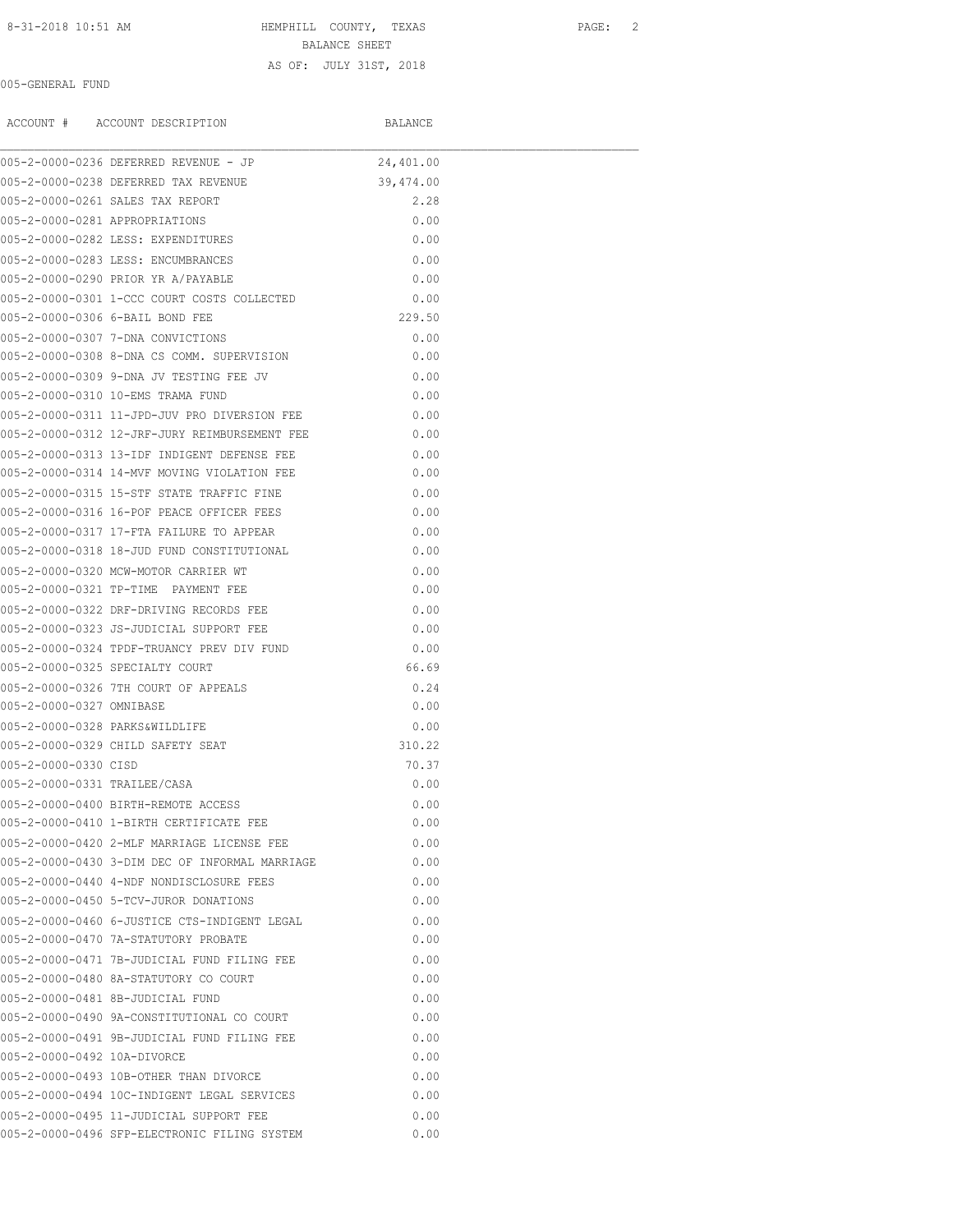# 8-31-2018 10:51 AM **HEMPHILL COUNTY, TEXAS** PAGE: 2

BALANCE SHEET AS OF: JULY 31ST, 2018

## 005-GENERAL FUND

ACCOUNT # ACCOUNT DESCRIPTION BALANCE

|                                | 005-2-0000-0236 DEFERRED REVENUE - JP          | 24,401.00 |  |
|--------------------------------|------------------------------------------------|-----------|--|
|                                | 005-2-0000-0238 DEFERRED TAX REVENUE           | 39,474.00 |  |
|                                | 005-2-0000-0261 SALES TAX REPORT               | 2.28      |  |
| 005-2-0000-0281 APPROPRIATIONS |                                                | 0.00      |  |
|                                | 005-2-0000-0282 LESS: EXPENDITURES             | 0.00      |  |
|                                | 005-2-0000-0283 LESS: ENCUMBRANCES             | 0.00      |  |
|                                | 005-2-0000-0290 PRIOR YR A/PAYABLE             | 0.00      |  |
|                                | 005-2-0000-0301 1-CCC COURT COSTS COLLECTED    | 0.00      |  |
|                                | 005-2-0000-0306 6-BAIL BOND FEE                | 229.50    |  |
|                                | 005-2-0000-0307 7-DNA CONVICTIONS              | 0.00      |  |
|                                | 005-2-0000-0308 8-DNA CS COMM. SUPERVISION     | 0.00      |  |
|                                | 005-2-0000-0309 9-DNA JV TESTING FEE JV        | 0.00      |  |
|                                | 005-2-0000-0310 10-EMS TRAMA FUND              | 0.00      |  |
|                                | 005-2-0000-0311 11-JPD-JUV PRO DIVERSION FEE   | 0.00      |  |
|                                | 005-2-0000-0312 12-JRF-JURY REIMBURSEMENT FEE  | 0.00      |  |
|                                | 005-2-0000-0313 13-IDF INDIGENT DEFENSE FEE    | 0.00      |  |
|                                | 005-2-0000-0314 14-MVF MOVING VIOLATION FEE    | 0.00      |  |
|                                | 005-2-0000-0315 15-STF STATE TRAFFIC FINE      | 0.00      |  |
|                                | 005-2-0000-0316 16-POF PEACE OFFICER FEES      | 0.00      |  |
|                                | 005-2-0000-0317 17-FTA FAILURE TO APPEAR       | 0.00      |  |
|                                | 005-2-0000-0318 18-JUD FUND CONSTITUTIONAL     | 0.00      |  |
|                                | 005-2-0000-0320 MCW-MOTOR CARRIER WT           | 0.00      |  |
|                                | 005-2-0000-0321 TP-TIME PAYMENT FEE            | 0.00      |  |
|                                | 005-2-0000-0322 DRF-DRIVING RECORDS FEE        | 0.00      |  |
|                                | 005-2-0000-0323 JS-JUDICIAL SUPPORT FEE        | 0.00      |  |
|                                | 005-2-0000-0324 TPDF-TRUANCY PREV DIV FUND     | 0.00      |  |
|                                | 005-2-0000-0325 SPECIALTY COURT                | 66.69     |  |
|                                | 005-2-0000-0326 7TH COURT OF APPEALS           | 0.24      |  |
| 005-2-0000-0327 OMNIBASE       |                                                | 0.00      |  |
| 005-2-0000-0328 PARKS&WILDLIFE |                                                | 0.00      |  |
|                                | 005-2-0000-0329 CHILD SAFETY SEAT              | 310.22    |  |
| 005-2-0000-0330 CISD           |                                                | 70.37     |  |
| 005-2-0000-0331 TRAILEE/CASA   |                                                | 0.00      |  |
|                                | 005-2-0000-0400 BIRTH-REMOTE ACCESS            | 0.00      |  |
|                                | 005-2-0000-0410 1-BIRTH CERTIFICATE FEE        | 0.00      |  |
|                                | 005-2-0000-0420 2-MLF MARRIAGE LICENSE FEE     | 0.00      |  |
|                                | 005-2-0000-0430 3-DIM DEC OF INFORMAL MARRIAGE | 0.00      |  |
|                                | 005-2-0000-0440 4-NDF NONDISCLOSURE FEES       | 0.00      |  |
|                                | 005-2-0000-0450 5-TCV-JUROR DONATIONS          | 0.00      |  |
|                                | 005-2-0000-0460 6-JUSTICE CTS-INDIGENT LEGAL   | 0.00      |  |
|                                | 005-2-0000-0470 7A-STATUTORY PROBATE           | 0.00      |  |
|                                | 005-2-0000-0471 7B-JUDICIAL FUND FILING FEE    | 0.00      |  |
|                                | 005-2-0000-0480 8A-STATUTORY CO COURT          | 0.00      |  |
|                                | 005-2-0000-0481 8B-JUDICIAL FUND               | 0.00      |  |
|                                | 005-2-0000-0490 9A-CONSTITUTIONAL CO COURT     | 0.00      |  |
|                                | 005-2-0000-0491 9B-JUDICIAL FUND FILING FEE    | 0.00      |  |
| 005-2-0000-0492 10A-DIVORCE    |                                                | 0.00      |  |
|                                | 005-2-0000-0493 10B-OTHER THAN DIVORCE         | 0.00      |  |
|                                | 005-2-0000-0494 10C-INDIGENT LEGAL SERVICES    | 0.00      |  |
|                                |                                                | 0.00      |  |
|                                | 005-2-0000-0495 11-JUDICIAL SUPPORT FEE        |           |  |
|                                | 005-2-0000-0496 SFP-ELECTRONIC FILING SYSTEM   | 0.00      |  |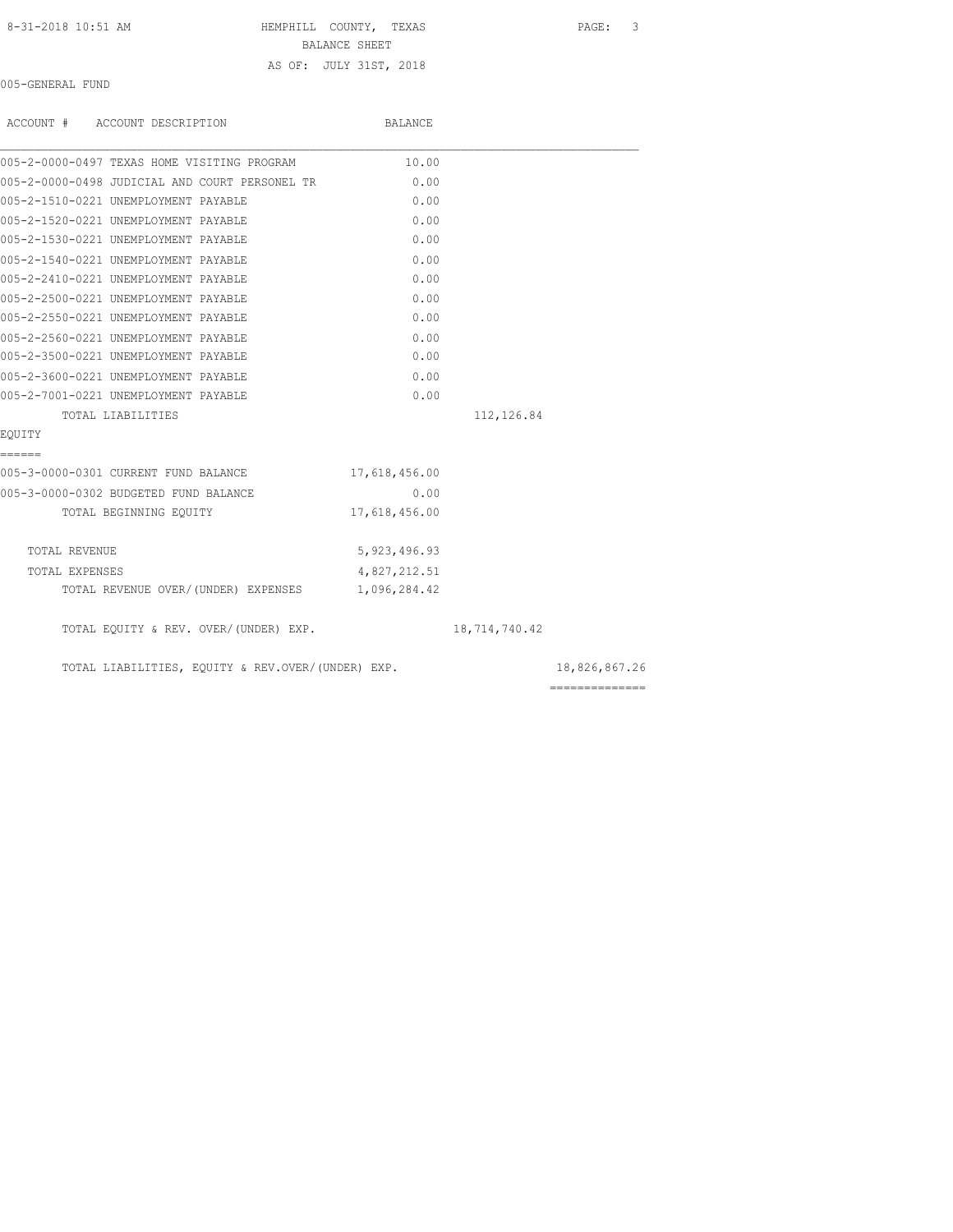| 8-31-2018 10:51 AM |
|--------------------|
|--------------------|

HEMPHILL COUNTY, TEXAS PAGE: 3

BALANCE SHEET

## AS OF: JULY 31ST, 2018

005-GENERAL FUND

|                | ACCOUNT # ACCOUNT DESCRIPTION                    | <b>BALANCE</b> |               |
|----------------|--------------------------------------------------|----------------|---------------|
|                | 005-2-0000-0497 TEXAS HOME VISITING PROGRAM      | 10.00          |               |
|                | 005-2-0000-0498 JUDICIAL AND COURT PERSONEL TR   | 0.00           |               |
|                | 005-2-1510-0221 UNEMPLOYMENT PAYABLE             | 0.00           |               |
|                | 005-2-1520-0221 UNEMPLOYMENT PAYABLE             | 0.00           |               |
|                | 005-2-1530-0221 UNEMPLOYMENT PAYABLE             | 0.00           |               |
|                | 005-2-1540-0221 UNEMPLOYMENT PAYABLE             | 0.00           |               |
|                | 005-2-2410-0221 UNEMPLOYMENT PAYABLE             | 0.00           |               |
|                | 005-2-2500-0221 UNEMPLOYMENT PAYABLE             | 0.00           |               |
|                | 005-2-2550-0221 UNEMPLOYMENT PAYABLE             | 0.00           |               |
|                | 005-2-2560-0221 UNEMPLOYMENT PAYABLE             | 0.00           |               |
|                | 005-2-3500-0221 UNEMPLOYMENT PAYABLE             | 0.00           |               |
|                | 005-2-3600-0221 UNEMPLOYMENT PAYABLE             | 0.00           |               |
|                | 005-2-7001-0221 UNEMPLOYMENT PAYABLE             | 0.00           |               |
|                | TOTAL LIABILITIES                                |                | 112,126.84    |
| EOUITY         |                                                  |                |               |
| ======         |                                                  |                |               |
|                | 005-3-0000-0301 CURRENT FUND BALANCE             | 17,618,456.00  |               |
|                | 005-3-0000-0302 BUDGETED FUND BALANCE            | 0.00           |               |
|                | TOTAL BEGINNING EQUITY                           | 17,618,456.00  |               |
|                |                                                  |                |               |
| TOTAL REVENUE  |                                                  | 5, 923, 496.93 |               |
| TOTAL EXPENSES |                                                  | 4,827,212.51   |               |
|                | TOTAL REVENUE OVER/(UNDER) EXPENSES 1,096,284.42 |                |               |
|                | TOTAL EQUITY & REV. OVER/(UNDER) EXP.            |                | 18,714,740.42 |

TOTAL LIABILITIES, EQUITY & REV.OVER/(UNDER) EXP. 18,826,867.26

==============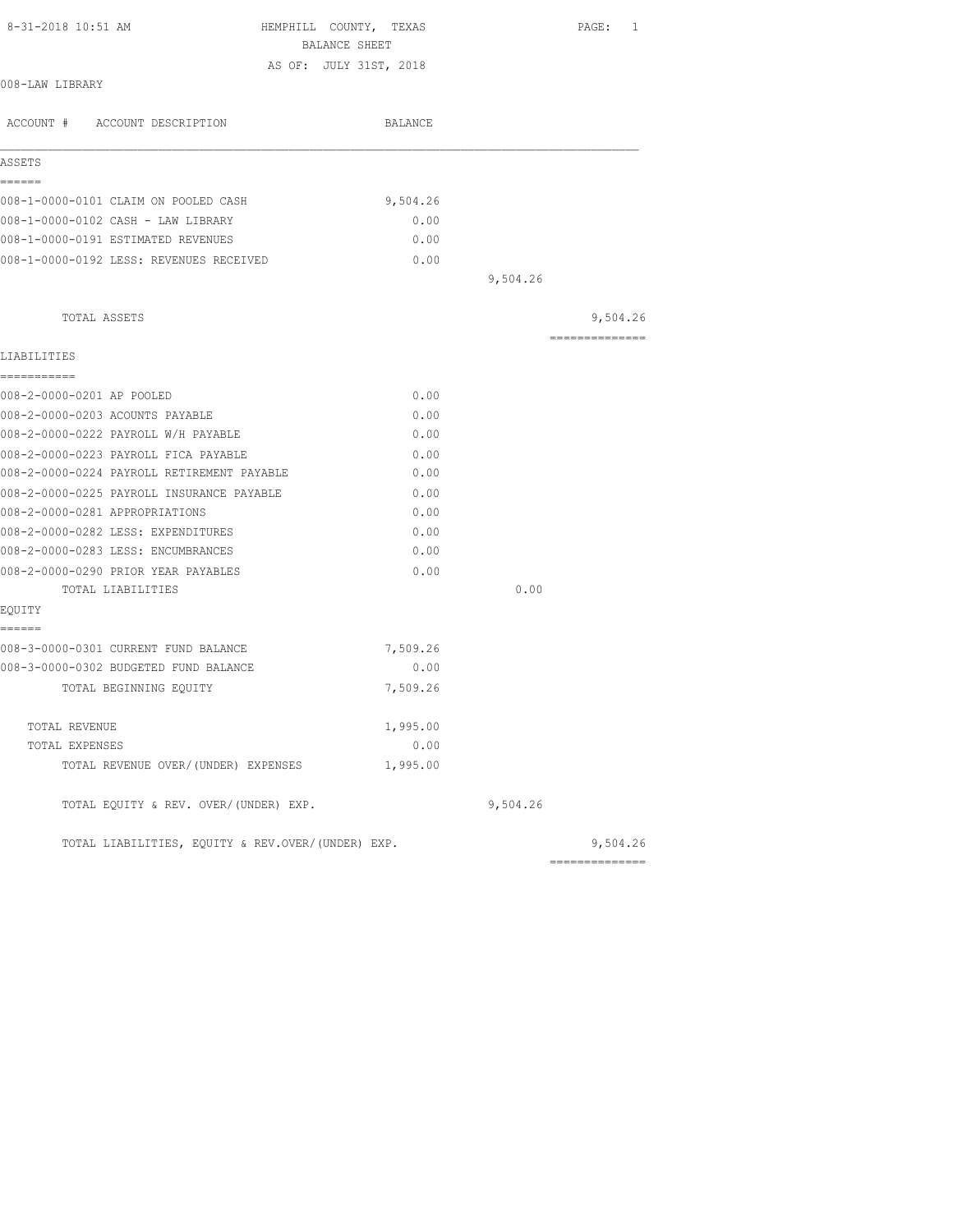| 8-31-2018 10:51 AM                                | HEMPHILL COUNTY, TEXAS<br>BALANCE SHEET |          | PAGE: 1        |
|---------------------------------------------------|-----------------------------------------|----------|----------------|
|                                                   | AS OF: JULY 31ST, 2018                  |          |                |
| 008-LAW LIBRARY                                   |                                         |          |                |
| ACCOUNT # ACCOUNT DESCRIPTION                     | BALANCE                                 |          |                |
| ASSETS                                            |                                         |          |                |
| ======                                            |                                         |          |                |
| 008-1-0000-0101 CLAIM ON POOLED CASH              | 9,504.26                                |          |                |
| 008-1-0000-0102 CASH - LAW LIBRARY                | 0.00                                    |          |                |
| 008-1-0000-0191 ESTIMATED REVENUES                | 0.00                                    |          |                |
| 008-1-0000-0192 LESS: REVENUES RECEIVED           | 0.00                                    |          |                |
|                                                   |                                         | 9,504.26 |                |
| TOTAL ASSETS                                      |                                         |          | 9,504.26       |
| LIABILITIES                                       |                                         |          | -------------- |
| -----------                                       |                                         |          |                |
| 008-2-0000-0201 AP POOLED                         | 0.00                                    |          |                |
| 008-2-0000-0203 ACOUNTS PAYABLE                   | 0.00                                    |          |                |
| 008-2-0000-0222 PAYROLL W/H PAYABLE               | 0.00                                    |          |                |
| 008-2-0000-0223 PAYROLL FICA PAYABLE              | 0.00                                    |          |                |
| 008-2-0000-0224 PAYROLL RETIREMENT PAYABLE        | 0.00                                    |          |                |
| 008-2-0000-0225 PAYROLL INSURANCE PAYABLE         | 0.00                                    |          |                |
| 008-2-0000-0281 APPROPRIATIONS                    | 0.00                                    |          |                |
| 008-2-0000-0282 LESS: EXPENDITURES                | 0.00                                    |          |                |
| 008-2-0000-0283 LESS: ENCUMBRANCES                | 0.00                                    |          |                |
| 008-2-0000-0290 PRIOR YEAR PAYABLES               | 0.00                                    |          |                |
| TOTAL LIABILITIES                                 |                                         | 0.00     |                |
| EQUITY                                            |                                         |          |                |
| ======                                            |                                         |          |                |
| 008-3-0000-0301 CURRENT FUND BALANCE              | 7,509.26                                |          |                |
| 008-3-0000-0302 BUDGETED FUND BALANCE             | 0.00                                    |          |                |
| TOTAL BEGINNING EQUITY                            | 7,509.26                                |          |                |
| TOTAL REVENUE                                     | 1,995.00                                |          |                |
| TOTAL EXPENSES                                    | 0.00                                    |          |                |
| TOTAL REVENUE OVER/(UNDER) EXPENSES               | 1,995.00                                |          |                |
| TOTAL EQUITY & REV. OVER/(UNDER) EXP.             |                                         | 9,504.26 |                |
| TOTAL LIABILITIES, EOUITY & REV.OVER/(UNDER) EXP. |                                         |          | 9,504.26       |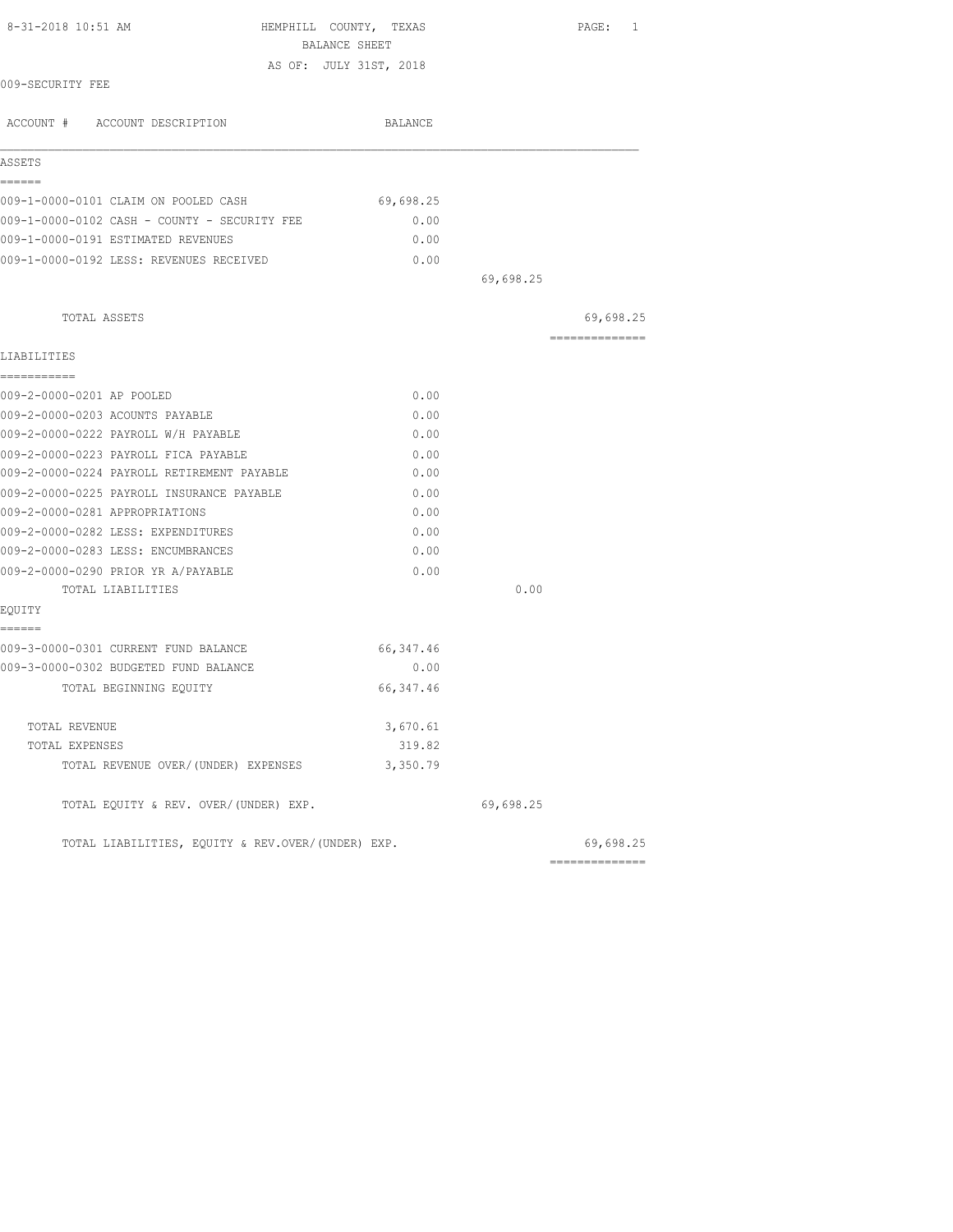| 8-31-2018 10:51 AM<br>HEMPHILL COUNTY, TEXAS<br>BALANCE SHEET                      |                |           | PAGE: 1                                                                                                                                                                                                                                                                                                                                                                                                                                                                                |
|------------------------------------------------------------------------------------|----------------|-----------|----------------------------------------------------------------------------------------------------------------------------------------------------------------------------------------------------------------------------------------------------------------------------------------------------------------------------------------------------------------------------------------------------------------------------------------------------------------------------------------|
| AS OF: JULY 31ST, 2018                                                             |                |           |                                                                                                                                                                                                                                                                                                                                                                                                                                                                                        |
| 009-SECURITY FEE                                                                   |                |           |                                                                                                                                                                                                                                                                                                                                                                                                                                                                                        |
| ACCOUNT # ACCOUNT DESCRIPTION                                                      | <b>BALANCE</b> |           |                                                                                                                                                                                                                                                                                                                                                                                                                                                                                        |
| ASSETS                                                                             |                |           |                                                                                                                                                                                                                                                                                                                                                                                                                                                                                        |
| ======<br>009-1-0000-0101 CLAIM ON POOLED CASH                                     | 69,698.25      |           |                                                                                                                                                                                                                                                                                                                                                                                                                                                                                        |
|                                                                                    |                |           |                                                                                                                                                                                                                                                                                                                                                                                                                                                                                        |
| 009-1-0000-0102 CASH - COUNTY - SECURITY FEE<br>009-1-0000-0191 ESTIMATED REVENUES | 0.00<br>0.00   |           |                                                                                                                                                                                                                                                                                                                                                                                                                                                                                        |
| 009-1-0000-0192 LESS: REVENUES RECEIVED                                            |                |           |                                                                                                                                                                                                                                                                                                                                                                                                                                                                                        |
|                                                                                    | 0.00           | 69,698.25 |                                                                                                                                                                                                                                                                                                                                                                                                                                                                                        |
|                                                                                    |                |           |                                                                                                                                                                                                                                                                                                                                                                                                                                                                                        |
| TOTAL ASSETS                                                                       |                |           | 69,698.25                                                                                                                                                                                                                                                                                                                                                                                                                                                                              |
| LIABILITIES                                                                        |                |           | $\begin{array}{cccccccccccccc} \multicolumn{2}{c}{} & \multicolumn{2}{c}{} & \multicolumn{2}{c}{} & \multicolumn{2}{c}{} & \multicolumn{2}{c}{} & \multicolumn{2}{c}{} & \multicolumn{2}{c}{} & \multicolumn{2}{c}{} & \multicolumn{2}{c}{} & \multicolumn{2}{c}{} & \multicolumn{2}{c}{} & \multicolumn{2}{c}{} & \multicolumn{2}{c}{} & \multicolumn{2}{c}{} & \multicolumn{2}{c}{} & \multicolumn{2}{c}{} & \multicolumn{2}{c}{} & \multicolumn{2}{c}{} & \multicolumn{2}{c}{} & \$ |
| -----------                                                                        |                |           |                                                                                                                                                                                                                                                                                                                                                                                                                                                                                        |
| 009-2-0000-0201 AP POOLED                                                          | 0.00           |           |                                                                                                                                                                                                                                                                                                                                                                                                                                                                                        |
| 009-2-0000-0203 ACOUNTS PAYABLE                                                    | 0.00           |           |                                                                                                                                                                                                                                                                                                                                                                                                                                                                                        |
| 009-2-0000-0222 PAYROLL W/H PAYABLE                                                | 0.00           |           |                                                                                                                                                                                                                                                                                                                                                                                                                                                                                        |
| 009-2-0000-0223 PAYROLL FICA PAYABLE                                               | 0.00           |           |                                                                                                                                                                                                                                                                                                                                                                                                                                                                                        |
| 009-2-0000-0224 PAYROLL RETIREMENT PAYABLE                                         | 0.00           |           |                                                                                                                                                                                                                                                                                                                                                                                                                                                                                        |
| 009-2-0000-0225 PAYROLL INSURANCE PAYABLE                                          | 0.00           |           |                                                                                                                                                                                                                                                                                                                                                                                                                                                                                        |
| 009-2-0000-0281 APPROPRIATIONS                                                     | 0.00           |           |                                                                                                                                                                                                                                                                                                                                                                                                                                                                                        |
| 009-2-0000-0282 LESS: EXPENDITURES                                                 | 0.00           |           |                                                                                                                                                                                                                                                                                                                                                                                                                                                                                        |
| 009-2-0000-0283 LESS: ENCUMBRANCES                                                 | 0.00           |           |                                                                                                                                                                                                                                                                                                                                                                                                                                                                                        |
| 009-2-0000-0290 PRIOR YR A/PAYABLE                                                 | 0.00           |           |                                                                                                                                                                                                                                                                                                                                                                                                                                                                                        |
| TOTAL LIABILITIES                                                                  |                | 0.00      |                                                                                                                                                                                                                                                                                                                                                                                                                                                                                        |
| EQUITY<br>======                                                                   |                |           |                                                                                                                                                                                                                                                                                                                                                                                                                                                                                        |
| 009-3-0000-0301 CURRENT FUND BALANCE                                               | 66, 347.46     |           |                                                                                                                                                                                                                                                                                                                                                                                                                                                                                        |
| 009-3-0000-0302 BUDGETED FUND BALANCE                                              | 0.00           |           |                                                                                                                                                                                                                                                                                                                                                                                                                                                                                        |
| TOTAL BEGINNING EOUITY                                                             | 66, 347.46     |           |                                                                                                                                                                                                                                                                                                                                                                                                                                                                                        |
| TOTAL REVENUE                                                                      | 3,670.61       |           |                                                                                                                                                                                                                                                                                                                                                                                                                                                                                        |
| TOTAL EXPENSES                                                                     | 319.82         |           |                                                                                                                                                                                                                                                                                                                                                                                                                                                                                        |
| TOTAL REVENUE OVER/(UNDER) EXPENSES                                                | 3,350.79       |           |                                                                                                                                                                                                                                                                                                                                                                                                                                                                                        |
| TOTAL EQUITY & REV. OVER/(UNDER) EXP.                                              |                | 69,698.25 |                                                                                                                                                                                                                                                                                                                                                                                                                                                                                        |
| TOTAL LIABILITIES, EQUITY & REV.OVER/(UNDER) EXP.                                  |                |           | 69,698.25                                                                                                                                                                                                                                                                                                                                                                                                                                                                              |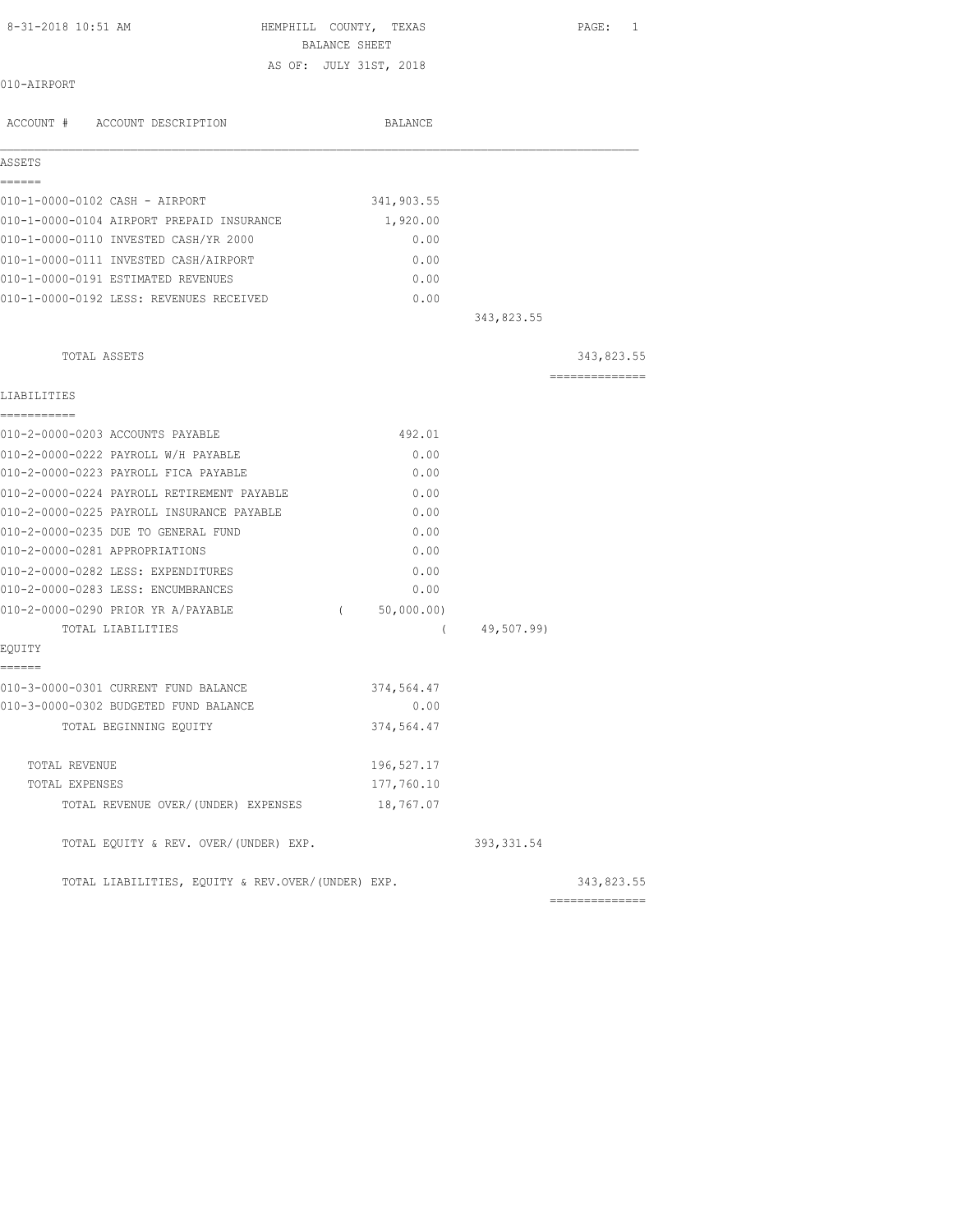| BALANCE SHEET<br>AS OF: JULY 31ST, 2018<br>010-AIRPORT<br>BALANCE |                        |  |
|-------------------------------------------------------------------|------------------------|--|
|                                                                   |                        |  |
| ACCOUNT # ACCOUNT DESCRIPTION                                     |                        |  |
|                                                                   |                        |  |
|                                                                   |                        |  |
|                                                                   |                        |  |
| ASSETS                                                            |                        |  |
| ======                                                            |                        |  |
| 010-1-0000-0102 CASH - AIRPORT<br>341,903.55                      |                        |  |
| 010-1-0000-0104 AIRPORT PREPAID INSURANCE<br>1,920.00             |                        |  |
| 010-1-0000-0110 INVESTED CASH/YR 2000                             | 0.00                   |  |
| 010-1-0000-0111 INVESTED CASH/AIRPORT                             | 0.00                   |  |
| 010-1-0000-0191 ESTIMATED REVENUES                                | 0.00                   |  |
| 010-1-0000-0192 LESS: REVENUES RECEIVED                           | 0.00                   |  |
|                                                                   | 343,823.55             |  |
|                                                                   |                        |  |
| TOTAL ASSETS                                                      | 343,823.55             |  |
|                                                                   | ---------------        |  |
| LIABILITIES<br>===========                                        |                        |  |
| 010-2-0000-0203 ACCOUNTS PAYABLE<br>492.01                        |                        |  |
| 010-2-0000-0222 PAYROLL W/H PAYABLE                               | 0.00                   |  |
| 010-2-0000-0223 PAYROLL FICA PAYABLE                              | 0.00                   |  |
| 010-2-0000-0224 PAYROLL RETIREMENT PAYABLE                        | 0.00                   |  |
| 010-2-0000-0225 PAYROLL INSURANCE PAYABLE                         | 0.00                   |  |
| 010-2-0000-0235 DUE TO GENERAL FUND                               | 0.00                   |  |
| 010-2-0000-0281 APPROPRIATIONS                                    | 0.00                   |  |
| 010-2-0000-0282 LESS: EXPENDITURES                                | 0.00                   |  |
| 010-2-0000-0283 LESS: ENCUMBRANCES                                | 0.00                   |  |
| 010-2-0000-0290 PRIOR YR A/PAYABLE<br>50,000.00)<br>$\left($      |                        |  |
| TOTAL LIABILITIES                                                 | 49,507.99)<br>$\left($ |  |
| EQUITY                                                            |                        |  |
| ------                                                            |                        |  |
| 010-3-0000-0301 CURRENT FUND BALANCE<br>374,564.47                |                        |  |
| 010-3-0000-0302 BUDGETED FUND BALANCE                             | 0.00                   |  |
| 374,564.47<br>TOTAL BEGINNING EQUITY                              |                        |  |
|                                                                   |                        |  |
| 196,527.17<br>TOTAL REVENUE                                       |                        |  |
| 177,760.10<br>TOTAL EXPENSES                                      |                        |  |
| 18,767.07<br>TOTAL REVENUE OVER/(UNDER) EXPENSES                  |                        |  |
| TOTAL EQUITY & REV. OVER/(UNDER) EXP.                             | 393, 331.54            |  |
| TOTAL LIABILITIES, EQUITY & REV.OVER/(UNDER) EXP.                 | 343,823.55             |  |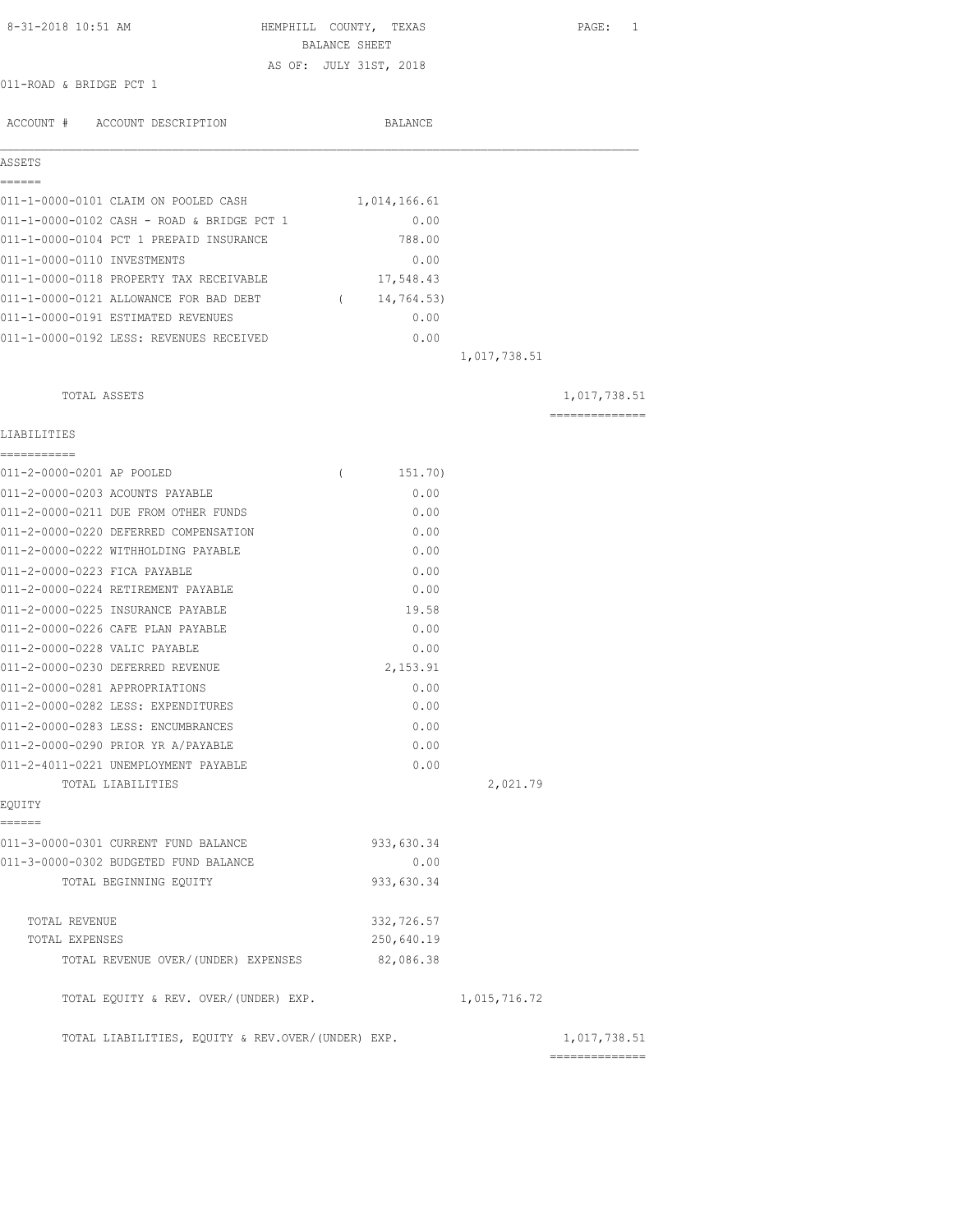| 8-31-2018 10:51 AM                                                   | BALANCE SHEET | HEMPHILL COUNTY, TEXAS |              | PAGE: 1                        |
|----------------------------------------------------------------------|---------------|------------------------|--------------|--------------------------------|
|                                                                      |               | AS OF: JULY 31ST, 2018 |              |                                |
| 011-ROAD & BRIDGE PCT 1                                              |               |                        |              |                                |
|                                                                      |               |                        |              |                                |
| ACCOUNT # ACCOUNT DESCRIPTION                                        |               | BALANCE                |              |                                |
| ASSETS<br>======                                                     |               |                        |              |                                |
| 011-1-0000-0101 CLAIM ON POOLED CASH                                 |               | 1,014,166.61           |              |                                |
| 011-1-0000-0102 CASH - ROAD & BRIDGE PCT 1                           |               | 0.00                   |              |                                |
| 011-1-0000-0104 PCT 1 PREPAID INSURANCE                              |               | 788.00                 |              |                                |
| 011-1-0000-0110 INVESTMENTS                                          |               | 0.00                   |              |                                |
| 011-1-0000-0118 PROPERTY TAX RECEIVABLE                              |               | 17,548.43              |              |                                |
| 011-1-0000-0121 ALLOWANCE FOR BAD DEBT                               |               | (14, 764.53)           |              |                                |
| 011-1-0000-0191 ESTIMATED REVENUES                                   |               | 0.00                   |              |                                |
| 011-1-0000-0192 LESS: REVENUES RECEIVED                              |               | 0.00                   |              |                                |
|                                                                      |               |                        | 1,017,738.51 |                                |
| TOTAL ASSETS                                                         |               |                        |              | 1,017,738.51                   |
| LIABILITIES                                                          |               |                        |              | --------------                 |
| -----------                                                          |               |                        |              |                                |
| 011-2-0000-0201 AP POOLED                                            | $\left($      | 151.70)                |              |                                |
| 011-2-0000-0203 ACOUNTS PAYABLE                                      |               | 0.00                   |              |                                |
| 011-2-0000-0211 DUE FROM OTHER FUNDS                                 |               | 0.00                   |              |                                |
| 011-2-0000-0220 DEFERRED COMPENSATION                                |               | 0.00                   |              |                                |
| 011-2-0000-0222 WITHHOLDING PAYABLE                                  |               | 0.00                   |              |                                |
| 011-2-0000-0223 FICA PAYABLE                                         |               | 0.00                   |              |                                |
| 011-2-0000-0224 RETIREMENT PAYABLE                                   |               | 0.00                   |              |                                |
| 011-2-0000-0225 INSURANCE PAYABLE                                    |               | 19.58                  |              |                                |
| 011-2-0000-0226 CAFE PLAN PAYABLE                                    |               | 0.00                   |              |                                |
| 011-2-0000-0228 VALIC PAYABLE                                        |               | 0.00                   |              |                                |
| 011-2-0000-0230 DEFERRED REVENUE                                     |               | 2,153.91               |              |                                |
| 011-2-0000-0281 APPROPRIATIONS<br>011-2-0000-0282 LESS: EXPENDITURES |               | 0.00<br>0.00           |              |                                |
| 011-2-0000-0283 LESS: ENCUMBRANCES                                   |               | 0.00                   |              |                                |
| 011-2-0000-0290 PRIOR YR A/PAYABLE                                   |               | 0.00                   |              |                                |
| 011-2-4011-0221 UNEMPLOYMENT PAYABLE                                 |               | 0.00                   |              |                                |
| TOTAL LIABILITIES                                                    |               |                        | 2,021.79     |                                |
| EQUITY                                                               |               |                        |              |                                |
| ======<br>011-3-0000-0301 CURRENT FUND BALANCE                       |               | 933,630.34             |              |                                |
| 011-3-0000-0302 BUDGETED FUND BALANCE                                |               | 0.00                   |              |                                |
| TOTAL BEGINNING EQUITY                                               |               | 933,630.34             |              |                                |
| TOTAL REVENUE                                                        |               | 332,726.57             |              |                                |
| TOTAL EXPENSES                                                       |               | 250,640.19             |              |                                |
| TOTAL REVENUE OVER/(UNDER) EXPENSES                                  |               | 82,086.38              |              |                                |
| TOTAL EQUITY & REV. OVER/(UNDER) EXP.                                |               |                        | 1,015,716.72 |                                |
| TOTAL LIABILITIES, EQUITY & REV.OVER/(UNDER) EXP.                    |               |                        |              | 1,017,738.51<br>============== |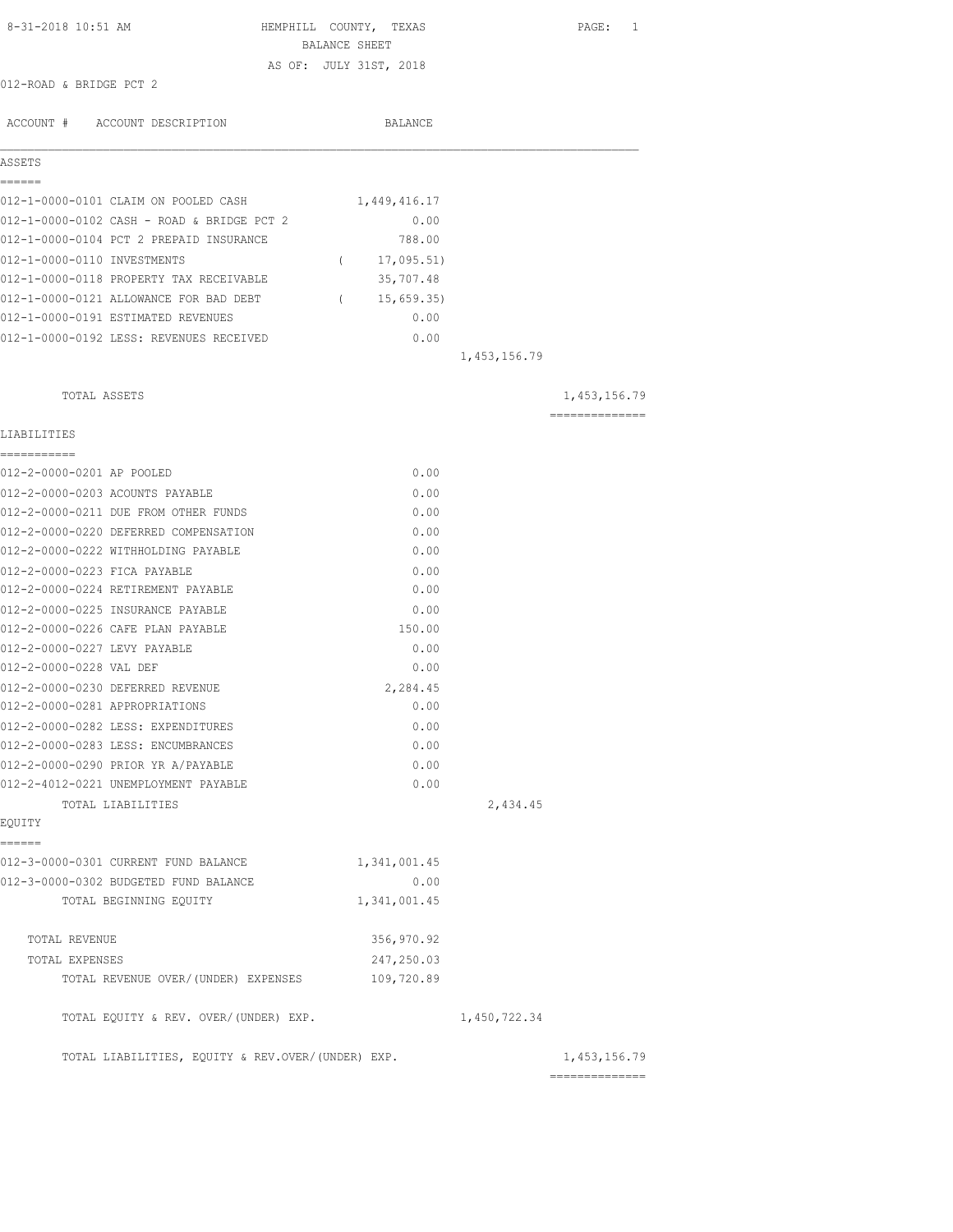| 8-31-2018 10:51 AM<br>HEMPHILL COUNTY, TEXAS      |                        |              |              | PAGE: 1                                                                                                                                                                                                                                                                                                                                                                                                                                                                                |
|---------------------------------------------------|------------------------|--------------|--------------|----------------------------------------------------------------------------------------------------------------------------------------------------------------------------------------------------------------------------------------------------------------------------------------------------------------------------------------------------------------------------------------------------------------------------------------------------------------------------------------|
|                                                   | BALANCE SHEET          |              |              |                                                                                                                                                                                                                                                                                                                                                                                                                                                                                        |
| 012-ROAD & BRIDGE PCT 2                           | AS OF: JULY 31ST, 2018 |              |              |                                                                                                                                                                                                                                                                                                                                                                                                                                                                                        |
|                                                   |                        |              |              |                                                                                                                                                                                                                                                                                                                                                                                                                                                                                        |
| ACCOUNT # ACCOUNT DESCRIPTION                     |                        | BALANCE      |              |                                                                                                                                                                                                                                                                                                                                                                                                                                                                                        |
| ASSETS                                            |                        |              |              |                                                                                                                                                                                                                                                                                                                                                                                                                                                                                        |
| ------                                            |                        |              |              |                                                                                                                                                                                                                                                                                                                                                                                                                                                                                        |
| 012-1-0000-0101 CLAIM ON POOLED CASH              |                        | 1,449,416.17 |              |                                                                                                                                                                                                                                                                                                                                                                                                                                                                                        |
| 012-1-0000-0102 CASH - ROAD & BRIDGE PCT 2        |                        | 0.00         |              |                                                                                                                                                                                                                                                                                                                                                                                                                                                                                        |
| 012-1-0000-0104 PCT 2 PREPAID INSURANCE           |                        | 788.00       |              |                                                                                                                                                                                                                                                                                                                                                                                                                                                                                        |
| 012-1-0000-0110 INVESTMENTS                       | $\sqrt{2}$             | 17,095.51)   |              |                                                                                                                                                                                                                                                                                                                                                                                                                                                                                        |
| 012-1-0000-0118 PROPERTY TAX RECEIVABLE           |                        | 35,707.48    |              |                                                                                                                                                                                                                                                                                                                                                                                                                                                                                        |
| 012-1-0000-0121 ALLOWANCE FOR BAD DEBT            |                        | (15, 659.35) |              |                                                                                                                                                                                                                                                                                                                                                                                                                                                                                        |
| 012-1-0000-0191 ESTIMATED REVENUES                |                        | 0.00         |              |                                                                                                                                                                                                                                                                                                                                                                                                                                                                                        |
| 012-1-0000-0192 LESS: REVENUES RECEIVED           |                        | 0.00         |              |                                                                                                                                                                                                                                                                                                                                                                                                                                                                                        |
|                                                   |                        |              | 1,453,156.79 |                                                                                                                                                                                                                                                                                                                                                                                                                                                                                        |
| TOTAL ASSETS                                      |                        |              |              | 1,453,156.79                                                                                                                                                                                                                                                                                                                                                                                                                                                                           |
|                                                   |                        |              |              | $\begin{array}{cccccccccccccc} \multicolumn{2}{c}{} & \multicolumn{2}{c}{} & \multicolumn{2}{c}{} & \multicolumn{2}{c}{} & \multicolumn{2}{c}{} & \multicolumn{2}{c}{} & \multicolumn{2}{c}{} & \multicolumn{2}{c}{} & \multicolumn{2}{c}{} & \multicolumn{2}{c}{} & \multicolumn{2}{c}{} & \multicolumn{2}{c}{} & \multicolumn{2}{c}{} & \multicolumn{2}{c}{} & \multicolumn{2}{c}{} & \multicolumn{2}{c}{} & \multicolumn{2}{c}{} & \multicolumn{2}{c}{} & \multicolumn{2}{c}{} & \$ |
| LIABILITIES<br>-----------                        |                        |              |              |                                                                                                                                                                                                                                                                                                                                                                                                                                                                                        |
| 012-2-0000-0201 AP POOLED                         |                        | 0.00         |              |                                                                                                                                                                                                                                                                                                                                                                                                                                                                                        |
| 012-2-0000-0203 ACOUNTS PAYABLE                   |                        | 0.00         |              |                                                                                                                                                                                                                                                                                                                                                                                                                                                                                        |
| 012-2-0000-0211 DUE FROM OTHER FUNDS              |                        | 0.00         |              |                                                                                                                                                                                                                                                                                                                                                                                                                                                                                        |
| 012-2-0000-0220 DEFERRED COMPENSATION             |                        | 0.00         |              |                                                                                                                                                                                                                                                                                                                                                                                                                                                                                        |
| 012-2-0000-0222 WITHHOLDING PAYABLE               |                        | 0.00         |              |                                                                                                                                                                                                                                                                                                                                                                                                                                                                                        |
| 012-2-0000-0223 FICA PAYABLE                      |                        | 0.00         |              |                                                                                                                                                                                                                                                                                                                                                                                                                                                                                        |
| 012-2-0000-0224 RETIREMENT PAYABLE                |                        | 0.00         |              |                                                                                                                                                                                                                                                                                                                                                                                                                                                                                        |
| 012-2-0000-0225 INSURANCE PAYABLE                 |                        | 0.00         |              |                                                                                                                                                                                                                                                                                                                                                                                                                                                                                        |
| 012-2-0000-0226 CAFE PLAN PAYABLE                 |                        | 150.00       |              |                                                                                                                                                                                                                                                                                                                                                                                                                                                                                        |
| 012-2-0000-0227 LEVY PAYABLE                      |                        | 0.00         |              |                                                                                                                                                                                                                                                                                                                                                                                                                                                                                        |
| 012-2-0000-0228 VAL DEF                           |                        | 0.00         |              |                                                                                                                                                                                                                                                                                                                                                                                                                                                                                        |
| 012-2-0000-0230 DEFERRED REVENUE                  |                        | 2,284.45     |              |                                                                                                                                                                                                                                                                                                                                                                                                                                                                                        |
| 012-2-0000-0281 APPROPRIATIONS                    |                        | 0.00         |              |                                                                                                                                                                                                                                                                                                                                                                                                                                                                                        |
| 012-2-0000-0282 LESS: EXPENDITURES                |                        | 0.00         |              |                                                                                                                                                                                                                                                                                                                                                                                                                                                                                        |
| 012-2-0000-0283 LESS: ENCUMBRANCES                |                        | 0.00         |              |                                                                                                                                                                                                                                                                                                                                                                                                                                                                                        |
| 012-2-0000-0290 PRIOR YR A/PAYABLE                |                        | 0.00         |              |                                                                                                                                                                                                                                                                                                                                                                                                                                                                                        |
| 012-2-4012-0221 UNEMPLOYMENT PAYABLE              |                        | 0.00         |              |                                                                                                                                                                                                                                                                                                                                                                                                                                                                                        |
| TOTAL LIABILITIES                                 |                        |              | 2,434.45     |                                                                                                                                                                                                                                                                                                                                                                                                                                                                                        |
| EQUITY                                            |                        |              |              |                                                                                                                                                                                                                                                                                                                                                                                                                                                                                        |
| ======<br>012-3-0000-0301 CURRENT FUND BALANCE    |                        | 1,341,001.45 |              |                                                                                                                                                                                                                                                                                                                                                                                                                                                                                        |
| 012-3-0000-0302 BUDGETED FUND BALANCE             |                        | 0.00         |              |                                                                                                                                                                                                                                                                                                                                                                                                                                                                                        |
| TOTAL BEGINNING EOUITY                            |                        | 1,341,001.45 |              |                                                                                                                                                                                                                                                                                                                                                                                                                                                                                        |
|                                                   |                        |              |              |                                                                                                                                                                                                                                                                                                                                                                                                                                                                                        |
| TOTAL REVENUE                                     |                        | 356,970.92   |              |                                                                                                                                                                                                                                                                                                                                                                                                                                                                                        |
| TOTAL EXPENSES                                    |                        | 247,250.03   |              |                                                                                                                                                                                                                                                                                                                                                                                                                                                                                        |
| TOTAL REVENUE OVER/ (UNDER) EXPENSES              |                        | 109,720.89   |              |                                                                                                                                                                                                                                                                                                                                                                                                                                                                                        |
| TOTAL EQUITY & REV. OVER/(UNDER) EXP.             |                        |              | 1,450,722.34 |                                                                                                                                                                                                                                                                                                                                                                                                                                                                                        |
| TOTAL LIABILITIES, EQUITY & REV.OVER/(UNDER) EXP. |                        |              |              | 1,453,156.79                                                                                                                                                                                                                                                                                                                                                                                                                                                                           |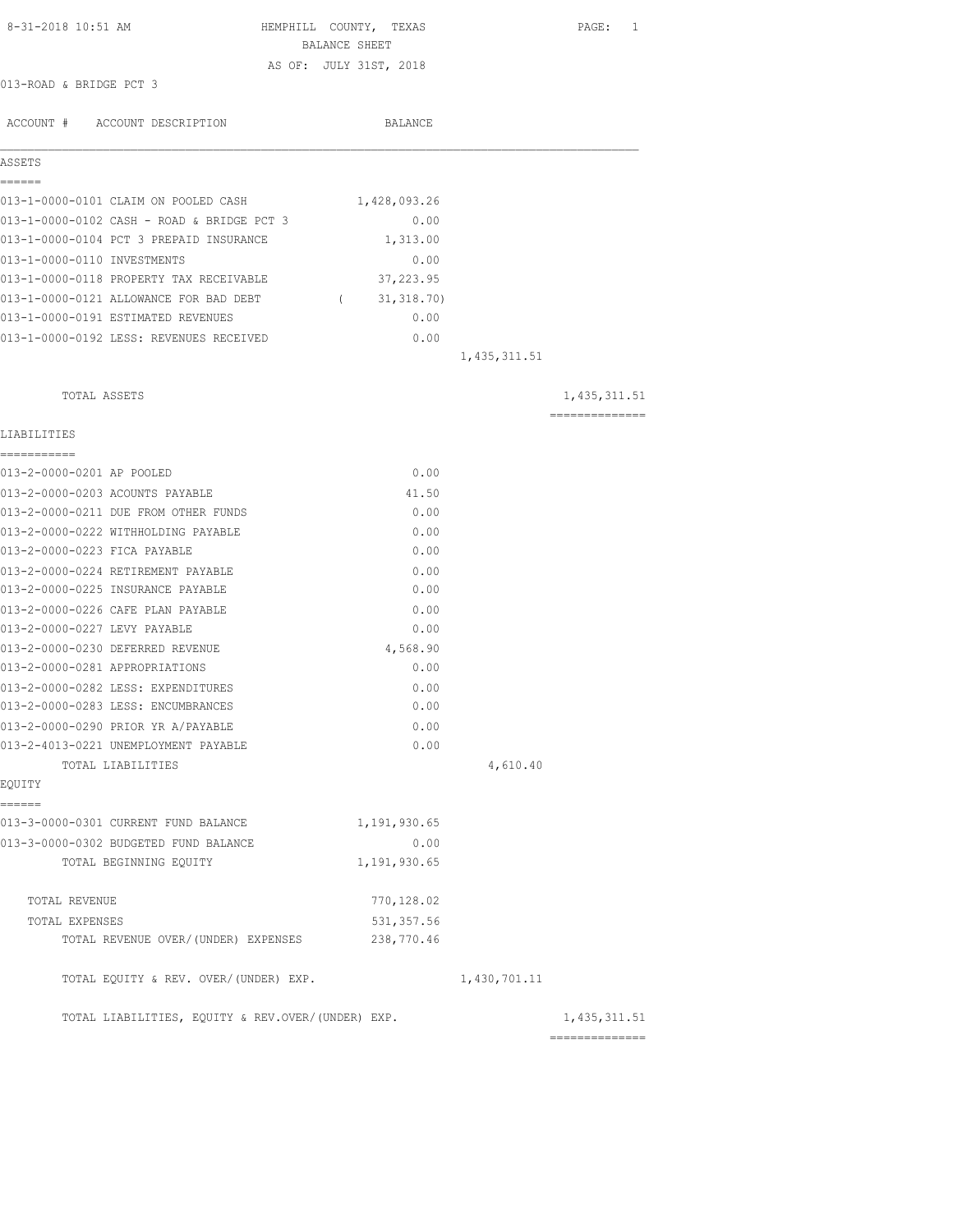| 8-31-2018 10:51 AM                                                | HEMPHILL COUNTY, TEXAS<br>BALANCE SHEET |                | PAGE: 1                           |
|-------------------------------------------------------------------|-----------------------------------------|----------------|-----------------------------------|
|                                                                   | AS OF: JULY 31ST, 2018                  |                |                                   |
| 013-ROAD & BRIDGE PCT 3                                           |                                         |                |                                   |
|                                                                   |                                         |                |                                   |
| ACCOUNT # ACCOUNT DESCRIPTION                                     | BALANCE                                 |                |                                   |
| ASSETS                                                            |                                         |                |                                   |
| ======<br>013-1-0000-0101 CLAIM ON POOLED CASH                    | 1,428,093.26                            |                |                                   |
| 013-1-0000-0102 CASH - ROAD & BRIDGE PCT 3                        | 0.00                                    |                |                                   |
| 013-1-0000-0104 PCT 3 PREPAID INSURANCE                           | 1,313.00                                |                |                                   |
| 013-1-0000-0110 INVESTMENTS                                       | 0.00                                    |                |                                   |
| 013-1-0000-0118 PROPERTY TAX RECEIVABLE                           | 37,223.95                               |                |                                   |
| 013-1-0000-0121 ALLOWANCE FOR BAD DEBT                            | (31, 318.70)                            |                |                                   |
| 013-1-0000-0191 ESTIMATED REVENUES                                | 0.00                                    |                |                                   |
| 013-1-0000-0192 LESS: REVENUES RECEIVED                           | 0.00                                    |                |                                   |
|                                                                   |                                         | 1, 435, 311.51 |                                   |
| TOTAL ASSETS                                                      |                                         |                | 1,435,311.51                      |
| LIABILITIES                                                       |                                         |                | ==============                    |
| ===========                                                       |                                         |                |                                   |
| 013-2-0000-0201 AP POOLED                                         | 0.00                                    |                |                                   |
| 013-2-0000-0203 ACOUNTS PAYABLE                                   | 41.50                                   |                |                                   |
| 013-2-0000-0211 DUE FROM OTHER FUNDS                              | 0.00                                    |                |                                   |
| 013-2-0000-0222 WITHHOLDING PAYABLE                               | 0.00                                    |                |                                   |
| 013-2-0000-0223 FICA PAYABLE                                      | 0.00                                    |                |                                   |
| 013-2-0000-0224 RETIREMENT PAYABLE                                | 0.00                                    |                |                                   |
| 013-2-0000-0225 INSURANCE PAYABLE                                 | 0.00                                    |                |                                   |
| 013-2-0000-0226 CAFE PLAN PAYABLE<br>013-2-0000-0227 LEVY PAYABLE | 0.00<br>0.00                            |                |                                   |
| 013-2-0000-0230 DEFERRED REVENUE                                  |                                         |                |                                   |
| 013-2-0000-0281 APPROPRIATIONS                                    | 4,568.90<br>0.00                        |                |                                   |
| 013-2-0000-0282 LESS: EXPENDITURES                                |                                         |                |                                   |
| 013-2-0000-0283 LESS: ENCUMBRANCES                                | 0.00<br>0.00                            |                |                                   |
| 013-2-0000-0290 PRIOR YR A/PAYABLE                                | 0.00                                    |                |                                   |
| 013-2-4013-0221 UNEMPLOYMENT PAYABLE                              | 0.00                                    |                |                                   |
| TOTAL LIABILITIES                                                 |                                         | 4,610.40       |                                   |
| EQUITY<br>------                                                  |                                         |                |                                   |
| 013-3-0000-0301 CURRENT FUND BALANCE                              | 1,191,930.65                            |                |                                   |
| 013-3-0000-0302 BUDGETED FUND BALANCE                             | 0.00                                    |                |                                   |
| TOTAL BEGINNING EQUITY                                            | 1,191,930.65                            |                |                                   |
| TOTAL REVENUE                                                     | 770, 128.02                             |                |                                   |
| TOTAL EXPENSES                                                    | 531, 357.56                             |                |                                   |
| TOTAL REVENUE OVER/(UNDER) EXPENSES                               | 238,770.46                              |                |                                   |
| TOTAL EQUITY & REV. OVER/(UNDER) EXP.                             |                                         | 1,430,701.11   |                                   |
| TOTAL LIABILITIES, EQUITY & REV.OVER/(UNDER) EXP.                 |                                         |                | 1, 435, 311.51<br>--------------- |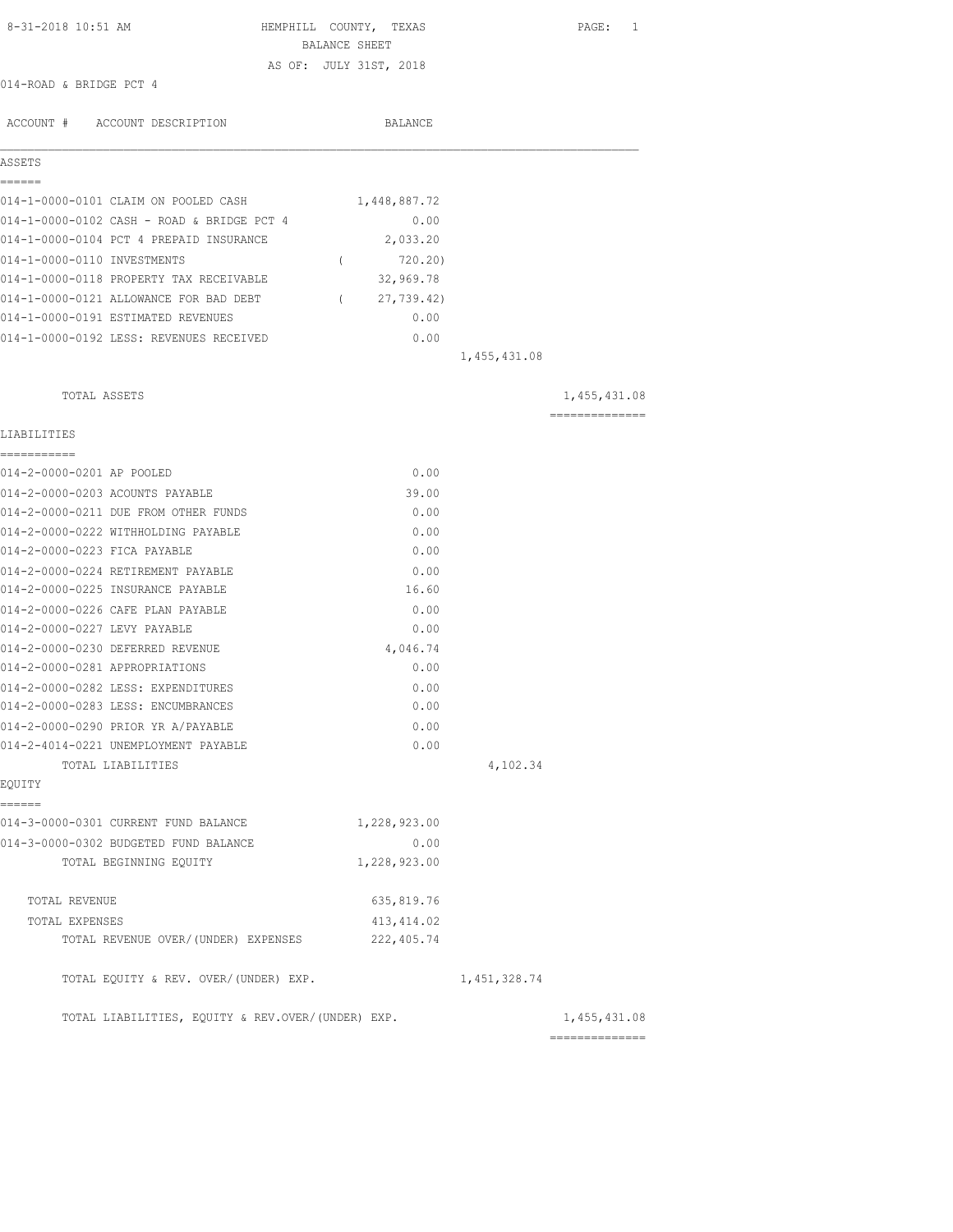| 8-31-2018 10:51 AM                                | HEMPHILL COUNTY, TEXAS |                | PAGE: 1                                                                                                                                                                                                                                                                                                                                                                                                                                                                                |
|---------------------------------------------------|------------------------|----------------|----------------------------------------------------------------------------------------------------------------------------------------------------------------------------------------------------------------------------------------------------------------------------------------------------------------------------------------------------------------------------------------------------------------------------------------------------------------------------------------|
|                                                   | BALANCE SHEET          |                |                                                                                                                                                                                                                                                                                                                                                                                                                                                                                        |
| 014-ROAD & BRIDGE PCT 4                           | AS OF: JULY 31ST, 2018 |                |                                                                                                                                                                                                                                                                                                                                                                                                                                                                                        |
|                                                   |                        |                |                                                                                                                                                                                                                                                                                                                                                                                                                                                                                        |
| ACCOUNT # ACCOUNT DESCRIPTION                     | BALANCE                |                |                                                                                                                                                                                                                                                                                                                                                                                                                                                                                        |
| ASSETS                                            |                        |                |                                                                                                                                                                                                                                                                                                                                                                                                                                                                                        |
| ------<br>014-1-0000-0101 CLAIM ON POOLED CASH    | 1,448,887.72           |                |                                                                                                                                                                                                                                                                                                                                                                                                                                                                                        |
| 014-1-0000-0102 CASH - ROAD & BRIDGE PCT 4        | 0.00                   |                |                                                                                                                                                                                                                                                                                                                                                                                                                                                                                        |
| 014-1-0000-0104 PCT 4 PREPAID INSURANCE           | 2,033.20               |                |                                                                                                                                                                                                                                                                                                                                                                                                                                                                                        |
| 014-1-0000-0110 INVESTMENTS                       | 720.20)<br>$\left($    |                |                                                                                                                                                                                                                                                                                                                                                                                                                                                                                        |
| 014-1-0000-0118 PROPERTY TAX RECEIVABLE           | 32,969.78              |                |                                                                                                                                                                                                                                                                                                                                                                                                                                                                                        |
| 014-1-0000-0121 ALLOWANCE FOR BAD DEBT            | (27, 739.42)           |                |                                                                                                                                                                                                                                                                                                                                                                                                                                                                                        |
| 014-1-0000-0191 ESTIMATED REVENUES                | 0.00                   |                |                                                                                                                                                                                                                                                                                                                                                                                                                                                                                        |
| 014-1-0000-0192 LESS: REVENUES RECEIVED           | 0.00                   |                |                                                                                                                                                                                                                                                                                                                                                                                                                                                                                        |
|                                                   |                        | 1,455,431.08   |                                                                                                                                                                                                                                                                                                                                                                                                                                                                                        |
| TOTAL ASSETS                                      |                        |                | 1,455,431.08                                                                                                                                                                                                                                                                                                                                                                                                                                                                           |
|                                                   |                        |                | $\begin{array}{cccccccccccccc} \multicolumn{2}{c}{} & \multicolumn{2}{c}{} & \multicolumn{2}{c}{} & \multicolumn{2}{c}{} & \multicolumn{2}{c}{} & \multicolumn{2}{c}{} & \multicolumn{2}{c}{} & \multicolumn{2}{c}{} & \multicolumn{2}{c}{} & \multicolumn{2}{c}{} & \multicolumn{2}{c}{} & \multicolumn{2}{c}{} & \multicolumn{2}{c}{} & \multicolumn{2}{c}{} & \multicolumn{2}{c}{} & \multicolumn{2}{c}{} & \multicolumn{2}{c}{} & \multicolumn{2}{c}{} & \multicolumn{2}{c}{} & \$ |
| LIABILITIES<br>===========                        |                        |                |                                                                                                                                                                                                                                                                                                                                                                                                                                                                                        |
| 014-2-0000-0201 AP POOLED                         | 0.00                   |                |                                                                                                                                                                                                                                                                                                                                                                                                                                                                                        |
| 014-2-0000-0203 ACOUNTS PAYABLE                   | 39.00                  |                |                                                                                                                                                                                                                                                                                                                                                                                                                                                                                        |
| 014-2-0000-0211 DUE FROM OTHER FUNDS              | 0.00                   |                |                                                                                                                                                                                                                                                                                                                                                                                                                                                                                        |
| 014-2-0000-0222 WITHHOLDING PAYABLE               | 0.00                   |                |                                                                                                                                                                                                                                                                                                                                                                                                                                                                                        |
| 014-2-0000-0223 FICA PAYABLE                      | 0.00                   |                |                                                                                                                                                                                                                                                                                                                                                                                                                                                                                        |
| 014-2-0000-0224 RETIREMENT PAYABLE                | 0.00                   |                |                                                                                                                                                                                                                                                                                                                                                                                                                                                                                        |
| 014-2-0000-0225 INSURANCE PAYABLE                 | 16.60                  |                |                                                                                                                                                                                                                                                                                                                                                                                                                                                                                        |
| 014-2-0000-0226 CAFE PLAN PAYABLE                 | 0.00                   |                |                                                                                                                                                                                                                                                                                                                                                                                                                                                                                        |
| 014-2-0000-0227 LEVY PAYABLE                      | 0.00                   |                |                                                                                                                                                                                                                                                                                                                                                                                                                                                                                        |
| 014-2-0000-0230 DEFERRED REVENUE                  | 4,046.74               |                |                                                                                                                                                                                                                                                                                                                                                                                                                                                                                        |
| 014-2-0000-0281 APPROPRIATIONS                    | 0.00                   |                |                                                                                                                                                                                                                                                                                                                                                                                                                                                                                        |
| 014-2-0000-0282 LESS: EXPENDITURES                | 0.00                   |                |                                                                                                                                                                                                                                                                                                                                                                                                                                                                                        |
| 014-2-0000-0283 LESS: ENCUMBRANCES                | 0.00                   |                |                                                                                                                                                                                                                                                                                                                                                                                                                                                                                        |
| 014-2-0000-0290 PRIOR YR A/PAYABLE                | 0.00                   |                |                                                                                                                                                                                                                                                                                                                                                                                                                                                                                        |
| 014-2-4014-0221 UNEMPLOYMENT PAYABLE              | 0.00                   |                |                                                                                                                                                                                                                                                                                                                                                                                                                                                                                        |
| TOTAL LIABILITIES                                 |                        | 4,102.34       |                                                                                                                                                                                                                                                                                                                                                                                                                                                                                        |
| EQUITY                                            |                        |                |                                                                                                                                                                                                                                                                                                                                                                                                                                                                                        |
| ======<br>014-3-0000-0301 CURRENT FUND BALANCE    | 1,228,923.00           |                |                                                                                                                                                                                                                                                                                                                                                                                                                                                                                        |
| 014-3-0000-0302 BUDGETED FUND BALANCE             | 0.00                   |                |                                                                                                                                                                                                                                                                                                                                                                                                                                                                                        |
| TOTAL BEGINNING EQUITY                            | 1,228,923.00           |                |                                                                                                                                                                                                                                                                                                                                                                                                                                                                                        |
| TOTAL REVENUE                                     | 635,819.76             |                |                                                                                                                                                                                                                                                                                                                                                                                                                                                                                        |
| TOTAL EXPENSES                                    | 413, 414.02            |                |                                                                                                                                                                                                                                                                                                                                                                                                                                                                                        |
| TOTAL REVENUE OVER/(UNDER) EXPENSES               | 222,405.74             |                |                                                                                                                                                                                                                                                                                                                                                                                                                                                                                        |
| TOTAL EQUITY & REV. OVER/(UNDER) EXP.             |                        | 1, 451, 328.74 |                                                                                                                                                                                                                                                                                                                                                                                                                                                                                        |
| TOTAL LIABILITIES, EQUITY & REV.OVER/(UNDER) EXP. |                        |                | 1,455,431.08<br>==============                                                                                                                                                                                                                                                                                                                                                                                                                                                         |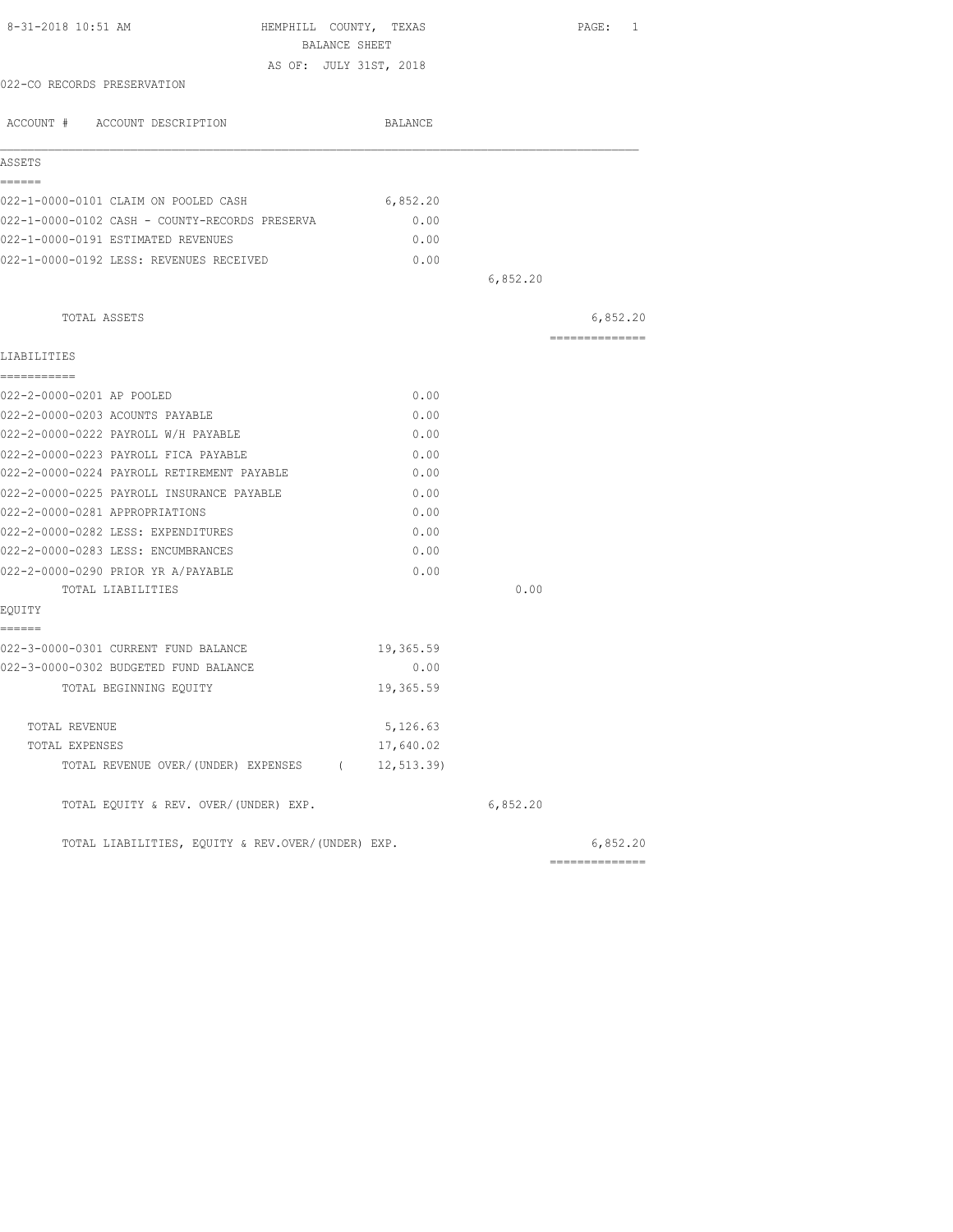| BALANCE SHEET<br>AS OF: JULY 31ST, 2018<br>BALANCE<br>6,852.20<br>0.00<br>0.00<br>0.00 | 6,852.20 | 6,852.20<br>-------------- |
|----------------------------------------------------------------------------------------|----------|----------------------------|
|                                                                                        |          |                            |
|                                                                                        |          |                            |
|                                                                                        |          |                            |
|                                                                                        |          |                            |
|                                                                                        |          |                            |
|                                                                                        |          |                            |
|                                                                                        |          |                            |
|                                                                                        |          |                            |
|                                                                                        |          |                            |
|                                                                                        |          |                            |
|                                                                                        |          |                            |
|                                                                                        |          |                            |
|                                                                                        |          |                            |
|                                                                                        |          |                            |
|                                                                                        |          |                            |
| 0.00                                                                                   |          |                            |
| 0.00                                                                                   |          |                            |
| 0.00                                                                                   |          |                            |
| 0.00                                                                                   |          |                            |
| 0.00                                                                                   |          |                            |
| 0.00                                                                                   |          |                            |
| 0.00                                                                                   |          |                            |
| 0.00                                                                                   |          |                            |
| 0.00                                                                                   |          |                            |
| 0.00                                                                                   |          |                            |
|                                                                                        | 0.00     |                            |
|                                                                                        |          |                            |
|                                                                                        |          |                            |
| 19,365.59                                                                              |          |                            |
| 0.00                                                                                   |          |                            |
| 19,365.59                                                                              |          |                            |
| 5,126.63                                                                               |          |                            |
| 17,640.02                                                                              |          |                            |
| TOTAL REVENUE OVER/(UNDER) EXPENSES (<br>12, 513.39                                    |          |                            |
|                                                                                        | 6,852.20 |                            |
| TOTAL LIABILITIES, EQUITY & REV.OVER/(UNDER) EXP.                                      |          | 6,852.20                   |
|                                                                                        |          | ---------------            |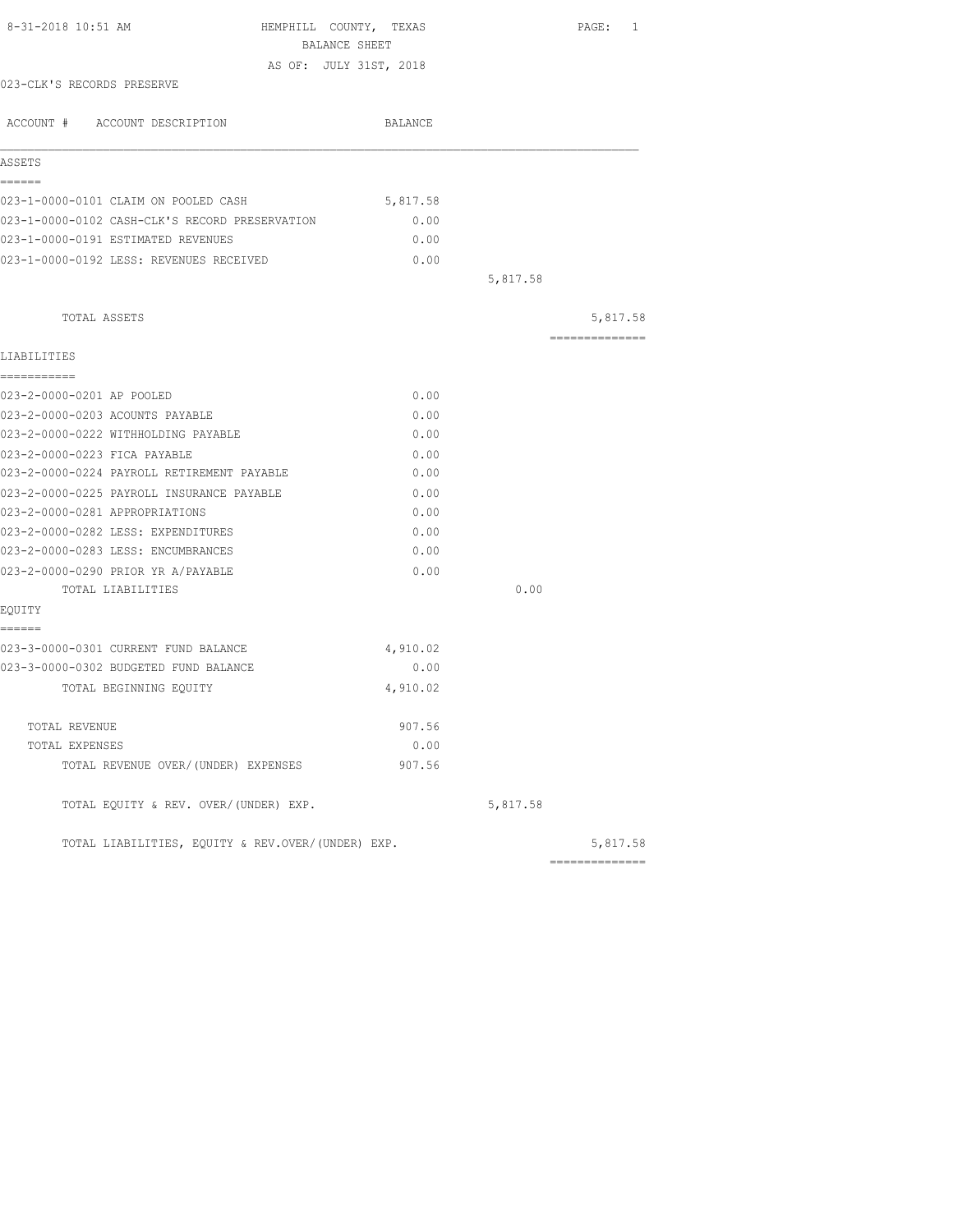|          |                                                                                                                                  | PAGE: 1         |
|----------|----------------------------------------------------------------------------------------------------------------------------------|-----------------|
|          |                                                                                                                                  |                 |
|          |                                                                                                                                  |                 |
|          |                                                                                                                                  |                 |
| BALANCE  |                                                                                                                                  |                 |
|          |                                                                                                                                  |                 |
|          |                                                                                                                                  |                 |
| 5,817.58 |                                                                                                                                  |                 |
| 0.00     |                                                                                                                                  |                 |
| 0.00     |                                                                                                                                  |                 |
| 0.00     |                                                                                                                                  |                 |
|          | 5,817.58                                                                                                                         |                 |
|          |                                                                                                                                  | 5,817.58        |
|          |                                                                                                                                  | --------------- |
|          |                                                                                                                                  |                 |
| 0.00     |                                                                                                                                  |                 |
| 0.00     |                                                                                                                                  |                 |
| 0.00     |                                                                                                                                  |                 |
| 0.00     |                                                                                                                                  |                 |
| 0.00     |                                                                                                                                  |                 |
| 0.00     |                                                                                                                                  |                 |
| 0.00     |                                                                                                                                  |                 |
| 0.00     |                                                                                                                                  |                 |
| 0.00     |                                                                                                                                  |                 |
| 0.00     |                                                                                                                                  |                 |
|          | 0.00                                                                                                                             |                 |
|          |                                                                                                                                  |                 |
|          |                                                                                                                                  |                 |
| 4,910.02 |                                                                                                                                  |                 |
| 0.00     |                                                                                                                                  |                 |
| 4,910.02 |                                                                                                                                  |                 |
|          |                                                                                                                                  |                 |
| 0.00     |                                                                                                                                  |                 |
| 907.56   |                                                                                                                                  |                 |
|          | 5,817.58                                                                                                                         |                 |
|          |                                                                                                                                  | 5,817.58        |
|          | HEMPHILL COUNTY, TEXAS<br>BALANCE SHEET<br>AS OF: JULY 31ST, 2018<br>907.56<br>TOTAL LIABILITIES, EQUITY & REV.OVER/(UNDER) EXP. |                 |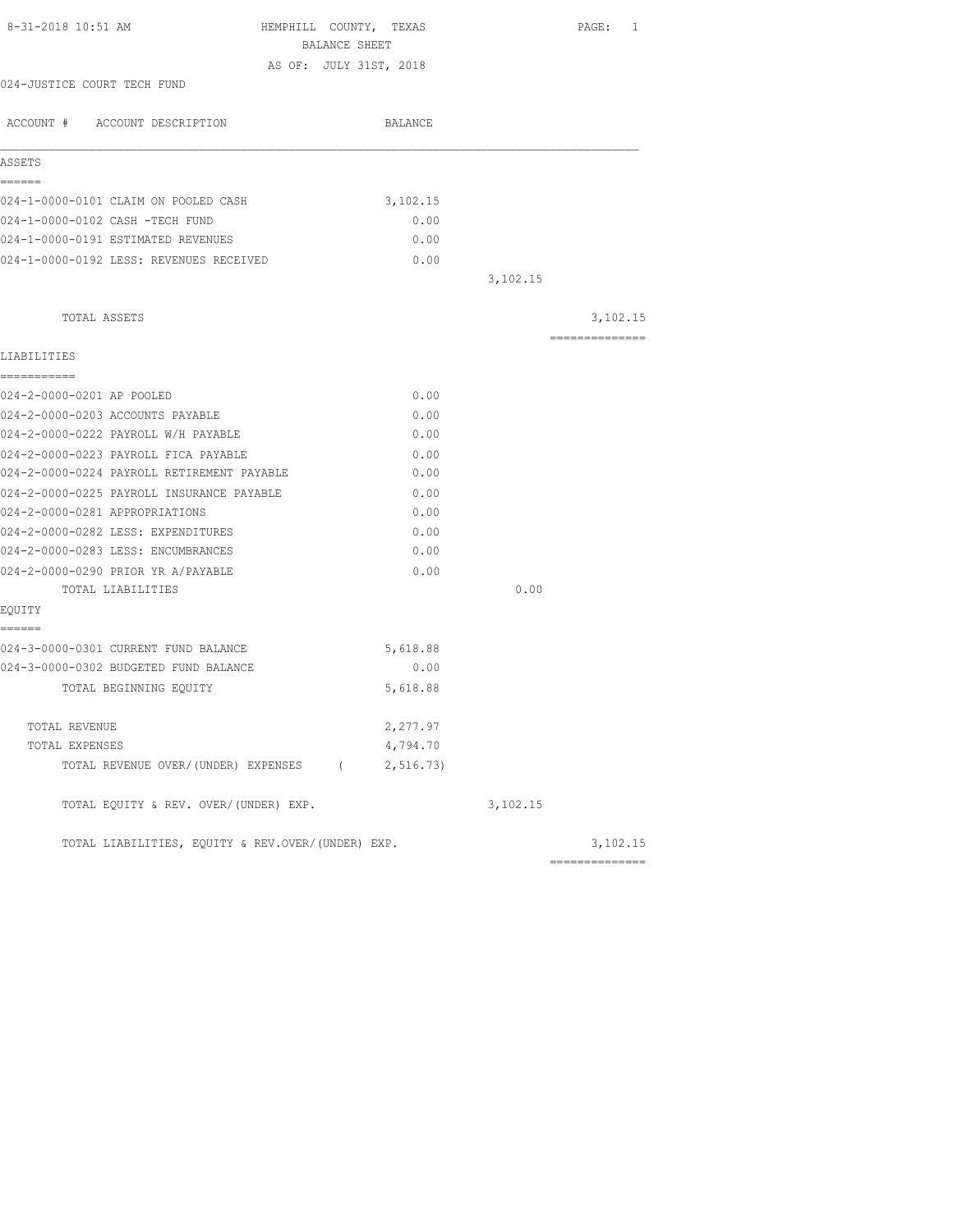| 8-31-2018 10:51 AM<br>HEMPHILL COUNTY, TEXAS<br>BALANCE SHEET |          |          | PAGE: 1        |
|---------------------------------------------------------------|----------|----------|----------------|
| AS OF: JULY 31ST, 2018                                        |          |          |                |
| 024-JUSTICE COURT TECH FUND                                   |          |          |                |
| ACCOUNT # ACCOUNT DESCRIPTION                                 | BALANCE  |          |                |
| ASSETS                                                        |          |          |                |
| ------                                                        |          |          |                |
| 024-1-0000-0101 CLAIM ON POOLED CASH                          | 3,102.15 |          |                |
| 024-1-0000-0102 CASH -TECH FUND                               | 0.00     |          |                |
| 024-1-0000-0191 ESTIMATED REVENUES                            | 0.00     |          |                |
| 024-1-0000-0192 LESS: REVENUES RECEIVED                       | 0.00     |          |                |
|                                                               |          | 3,102.15 |                |
| TOTAL ASSETS                                                  |          |          | 3,102.15       |
| LIABILITIES                                                   |          |          | ============== |
| ===========                                                   |          |          |                |
| 024-2-0000-0201 AP POOLED                                     | 0.00     |          |                |
| 024-2-0000-0203 ACCOUNTS PAYABLE                              | 0.00     |          |                |
| 024-2-0000-0222 PAYROLL W/H PAYABLE                           | 0.00     |          |                |
| 024-2-0000-0223 PAYROLL FICA PAYABLE                          | 0.00     |          |                |
| 024-2-0000-0224 PAYROLL RETIREMENT PAYABLE                    | 0.00     |          |                |
| 024-2-0000-0225 PAYROLL INSURANCE PAYABLE                     | 0.00     |          |                |
| 024-2-0000-0281 APPROPRIATIONS                                | 0.00     |          |                |
| 024-2-0000-0282 LESS: EXPENDITURES                            | 0.00     |          |                |
| 024-2-0000-0283 LESS: ENCUMBRANCES                            | 0.00     |          |                |
| 024-2-0000-0290 PRIOR YR A/PAYABLE                            | 0.00     |          |                |
| TOTAL LIABILITIES                                             |          | 0.00     |                |
| EQUITY                                                        |          |          |                |
| ------<br>024-3-0000-0301 CURRENT FUND BALANCE                | 5,618.88 |          |                |
| 024-3-0000-0302 BUDGETED FUND BALANCE                         | 0.00     |          |                |
| TOTAL BEGINNING EQUITY                                        | 5,618.88 |          |                |
|                                                               |          |          |                |
| TOTAL REVENUE                                                 | 2,277.97 |          |                |
| TOTAL EXPENSES                                                | 4,794.70 |          |                |
| TOTAL REVENUE OVER/(UNDER) EXPENSES (2,516.73)                |          |          |                |
| TOTAL EQUITY & REV. OVER/(UNDER) EXP.                         |          | 3,102.15 |                |
| TOTAL LIABILITIES, EQUITY & REV.OVER/(UNDER) EXP.             |          |          | 3,102.15       |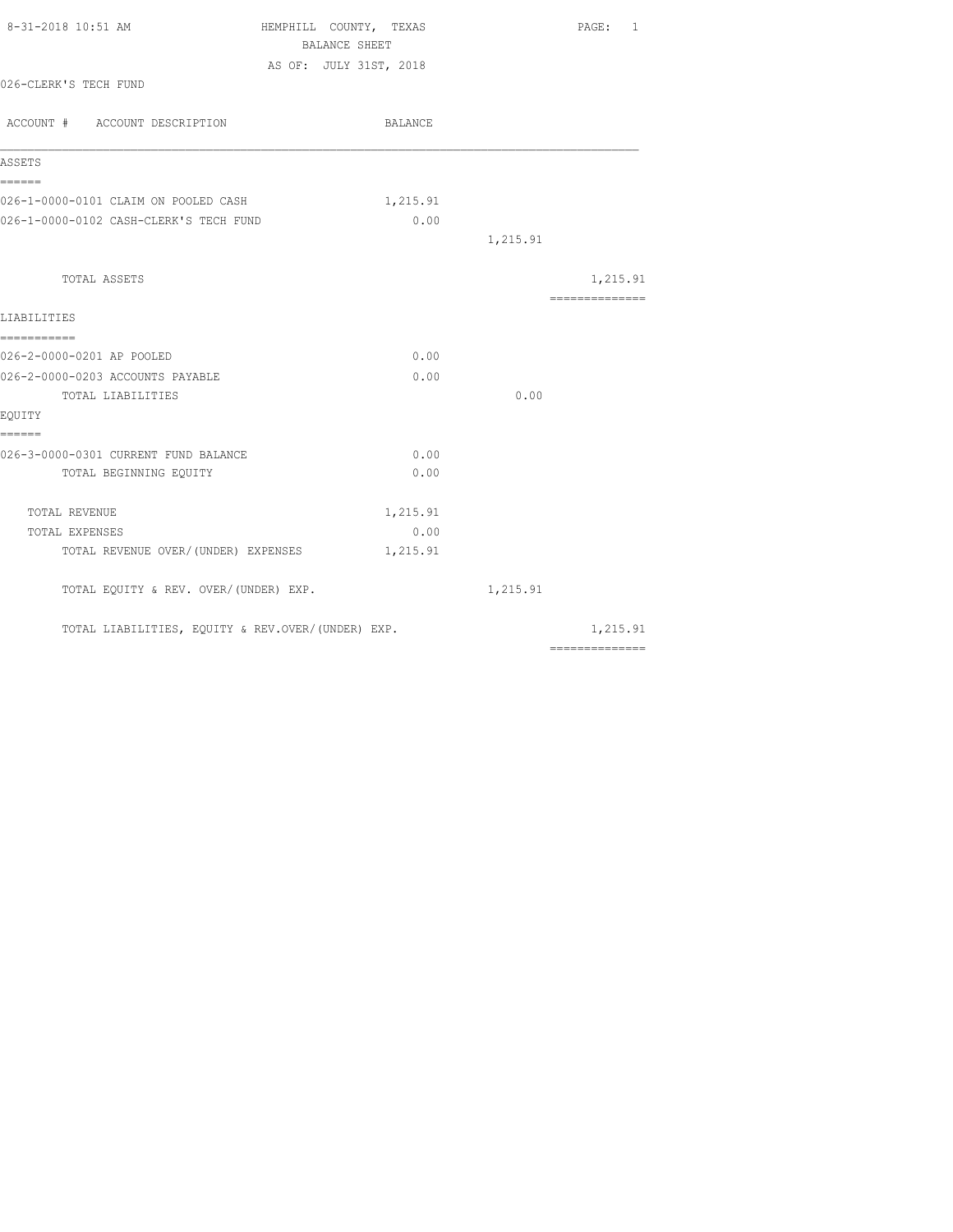| 8-31-2018 10:51 AM                                | HEMPHILL COUNTY, TEXAS | PAGE: 1                                                                                                                                                                                                                                                                                                                                                                                                                                                                                |
|---------------------------------------------------|------------------------|----------------------------------------------------------------------------------------------------------------------------------------------------------------------------------------------------------------------------------------------------------------------------------------------------------------------------------------------------------------------------------------------------------------------------------------------------------------------------------------|
|                                                   | BALANCE SHEET          |                                                                                                                                                                                                                                                                                                                                                                                                                                                                                        |
| 026-CLERK'S TECH FUND                             | AS OF: JULY 31ST, 2018 |                                                                                                                                                                                                                                                                                                                                                                                                                                                                                        |
|                                                   |                        |                                                                                                                                                                                                                                                                                                                                                                                                                                                                                        |
| ACCOUNT # ACCOUNT DESCRIPTION                     | BALANCE                |                                                                                                                                                                                                                                                                                                                                                                                                                                                                                        |
| ASSETS                                            |                        |                                                                                                                                                                                                                                                                                                                                                                                                                                                                                        |
| ======                                            |                        |                                                                                                                                                                                                                                                                                                                                                                                                                                                                                        |
| 026-1-0000-0101 CLAIM ON POOLED CASH              | 1,215.91               |                                                                                                                                                                                                                                                                                                                                                                                                                                                                                        |
| 026-1-0000-0102 CASH-CLERK'S TECH FUND            | 0.00                   |                                                                                                                                                                                                                                                                                                                                                                                                                                                                                        |
|                                                   |                        | 1,215.91                                                                                                                                                                                                                                                                                                                                                                                                                                                                               |
| TOTAL ASSETS                                      |                        | 1,215.91                                                                                                                                                                                                                                                                                                                                                                                                                                                                               |
|                                                   |                        | $\begin{array}{cccccccccc} \multicolumn{2}{c}{} & \multicolumn{2}{c}{} & \multicolumn{2}{c}{} & \multicolumn{2}{c}{} & \multicolumn{2}{c}{} & \multicolumn{2}{c}{} & \multicolumn{2}{c}{} & \multicolumn{2}{c}{} & \multicolumn{2}{c}{} & \multicolumn{2}{c}{} & \multicolumn{2}{c}{} & \multicolumn{2}{c}{} & \multicolumn{2}{c}{} & \multicolumn{2}{c}{} & \multicolumn{2}{c}{} & \multicolumn{2}{c}{} & \multicolumn{2}{c}{} & \multicolumn{2}{c}{} & \multicolumn{2}{c}{} & \mult$ |
| LIABILITIES                                       |                        |                                                                                                                                                                                                                                                                                                                                                                                                                                                                                        |
| ------------                                      |                        |                                                                                                                                                                                                                                                                                                                                                                                                                                                                                        |
| 026-2-0000-0201 AP POOLED                         | 0.00                   |                                                                                                                                                                                                                                                                                                                                                                                                                                                                                        |
| 026-2-0000-0203 ACCOUNTS PAYABLE                  | 0.00                   |                                                                                                                                                                                                                                                                                                                                                                                                                                                                                        |
| TOTAL LIABILITIES                                 |                        | 0.00                                                                                                                                                                                                                                                                                                                                                                                                                                                                                   |
| EOUITY                                            |                        |                                                                                                                                                                                                                                                                                                                                                                                                                                                                                        |
| ======                                            |                        |                                                                                                                                                                                                                                                                                                                                                                                                                                                                                        |
| 026-3-0000-0301 CURRENT FUND BALANCE              | 0.00                   |                                                                                                                                                                                                                                                                                                                                                                                                                                                                                        |
| TOTAL BEGINNING EQUITY                            | 0.00                   |                                                                                                                                                                                                                                                                                                                                                                                                                                                                                        |
| TOTAL REVENUE                                     | 1,215.91               |                                                                                                                                                                                                                                                                                                                                                                                                                                                                                        |
| TOTAL EXPENSES                                    | 0.00                   |                                                                                                                                                                                                                                                                                                                                                                                                                                                                                        |
| TOTAL REVENUE OVER/ (UNDER) EXPENSES              | 1,215.91               |                                                                                                                                                                                                                                                                                                                                                                                                                                                                                        |
| TOTAL EQUITY & REV. OVER/(UNDER) EXP.             |                        | 1,215.91                                                                                                                                                                                                                                                                                                                                                                                                                                                                               |
| TOTAL LIABILITIES, EQUITY & REV.OVER/(UNDER) EXP. |                        | 1,215.91                                                                                                                                                                                                                                                                                                                                                                                                                                                                               |
|                                                   |                        | $\begin{array}{cccccccccc} \multicolumn{2}{c}{} & \multicolumn{2}{c}{} & \multicolumn{2}{c}{} & \multicolumn{2}{c}{} & \multicolumn{2}{c}{} & \multicolumn{2}{c}{} & \multicolumn{2}{c}{} & \multicolumn{2}{c}{} & \multicolumn{2}{c}{} & \multicolumn{2}{c}{} & \multicolumn{2}{c}{} & \multicolumn{2}{c}{} & \multicolumn{2}{c}{} & \multicolumn{2}{c}{} & \multicolumn{2}{c}{} & \multicolumn{2}{c}{} & \multicolumn{2}{c}{} & \multicolumn{2}{c}{} & \multicolumn{2}{c}{} & \mult$ |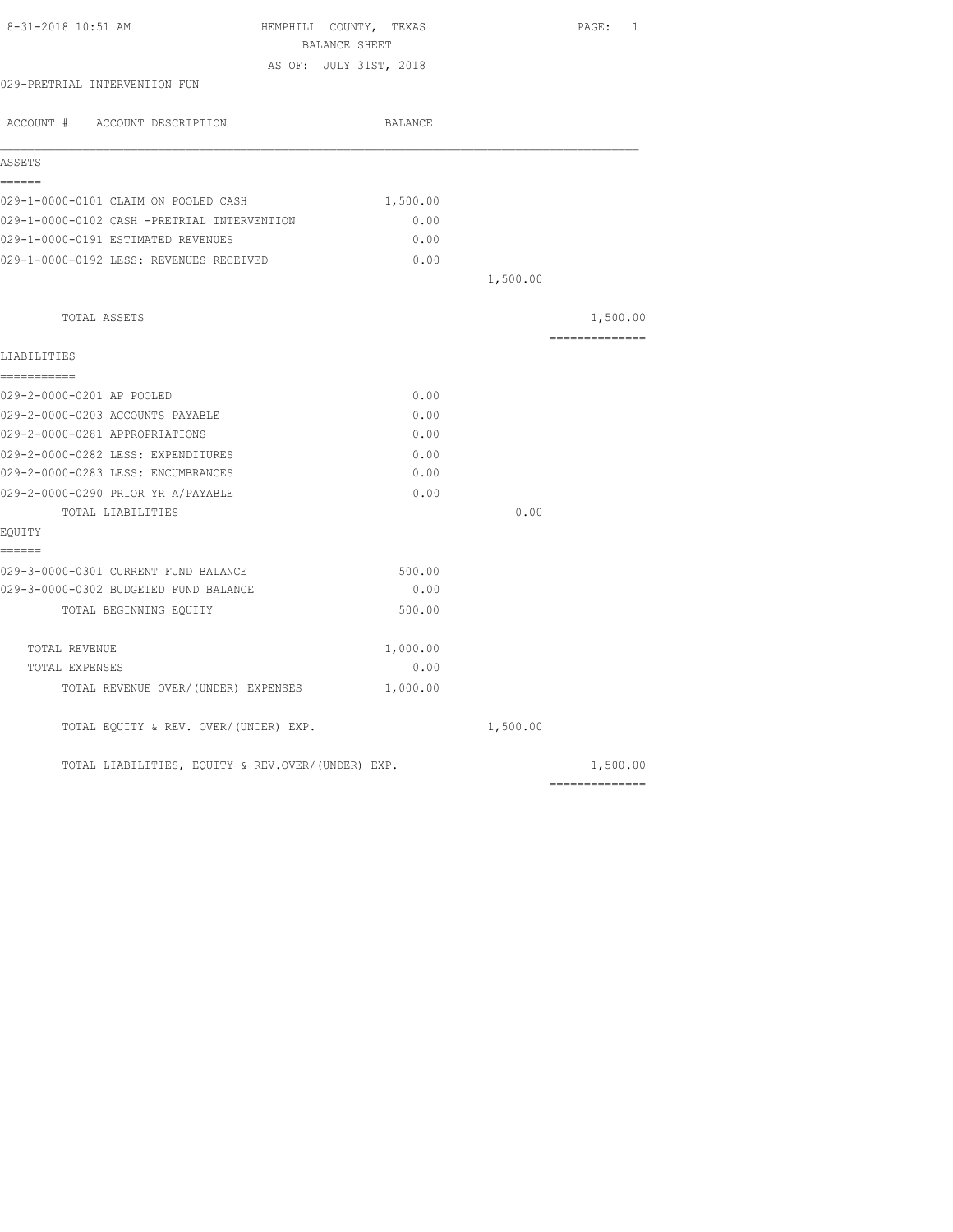| 8-31-2018 10:51 AM                                | HEMPHILL COUNTY, TEXAS<br>BALANCE SHEET |          | PAGE: 1         |
|---------------------------------------------------|-----------------------------------------|----------|-----------------|
|                                                   | AS OF: JULY 31ST, 2018                  |          |                 |
| 029-PRETRIAL INTERVENTION FUN                     |                                         |          |                 |
| ACCOUNT # ACCOUNT DESCRIPTION                     | BALANCE                                 |          |                 |
| ASSETS                                            |                                         |          |                 |
| ------                                            |                                         |          |                 |
| 029-1-0000-0101 CLAIM ON POOLED CASH              | 1,500.00                                |          |                 |
| 029-1-0000-0102 CASH -PRETRIAL INTERVENTION       | 0.00                                    |          |                 |
| 029-1-0000-0191 ESTIMATED REVENUES                | 0.00                                    |          |                 |
| 029-1-0000-0192 LESS: REVENUES RECEIVED           | 0.00                                    |          |                 |
|                                                   |                                         | 1,500.00 |                 |
| TOTAL ASSETS                                      |                                         |          | 1,500.00        |
| LIABILITIES                                       |                                         |          | ==============  |
| ===========                                       |                                         |          |                 |
| 029-2-0000-0201 AP POOLED                         | 0.00                                    |          |                 |
| 029-2-0000-0203 ACCOUNTS PAYABLE                  | 0.00                                    |          |                 |
| 029-2-0000-0281 APPROPRIATIONS                    | 0.00                                    |          |                 |
| 029-2-0000-0282 LESS: EXPENDITURES                | 0.00                                    |          |                 |
| 029-2-0000-0283 LESS: ENCUMBRANCES                | 0.00                                    |          |                 |
| 029-2-0000-0290 PRIOR YR A/PAYABLE                | 0.00                                    |          |                 |
| TOTAL LIABILITIES                                 |                                         | 0.00     |                 |
| EQUITY                                            |                                         |          |                 |
| ======<br>029-3-0000-0301 CURRENT FUND BALANCE    | 500.00                                  |          |                 |
| 029-3-0000-0302 BUDGETED FUND BALANCE             | 0.00                                    |          |                 |
| TOTAL BEGINNING EQUITY                            | 500.00                                  |          |                 |
| TOTAL REVENUE                                     | 1,000.00                                |          |                 |
| TOTAL EXPENSES                                    | 0.00                                    |          |                 |
| TOTAL REVENUE OVER/(UNDER) EXPENSES               | 1,000.00                                |          |                 |
| TOTAL EQUITY & REV. OVER/(UNDER) EXP.             |                                         | 1,500.00 |                 |
| TOTAL LIABILITIES, EQUITY & REV.OVER/(UNDER) EXP. |                                         |          | 1,500.00        |
|                                                   |                                         |          | --------------- |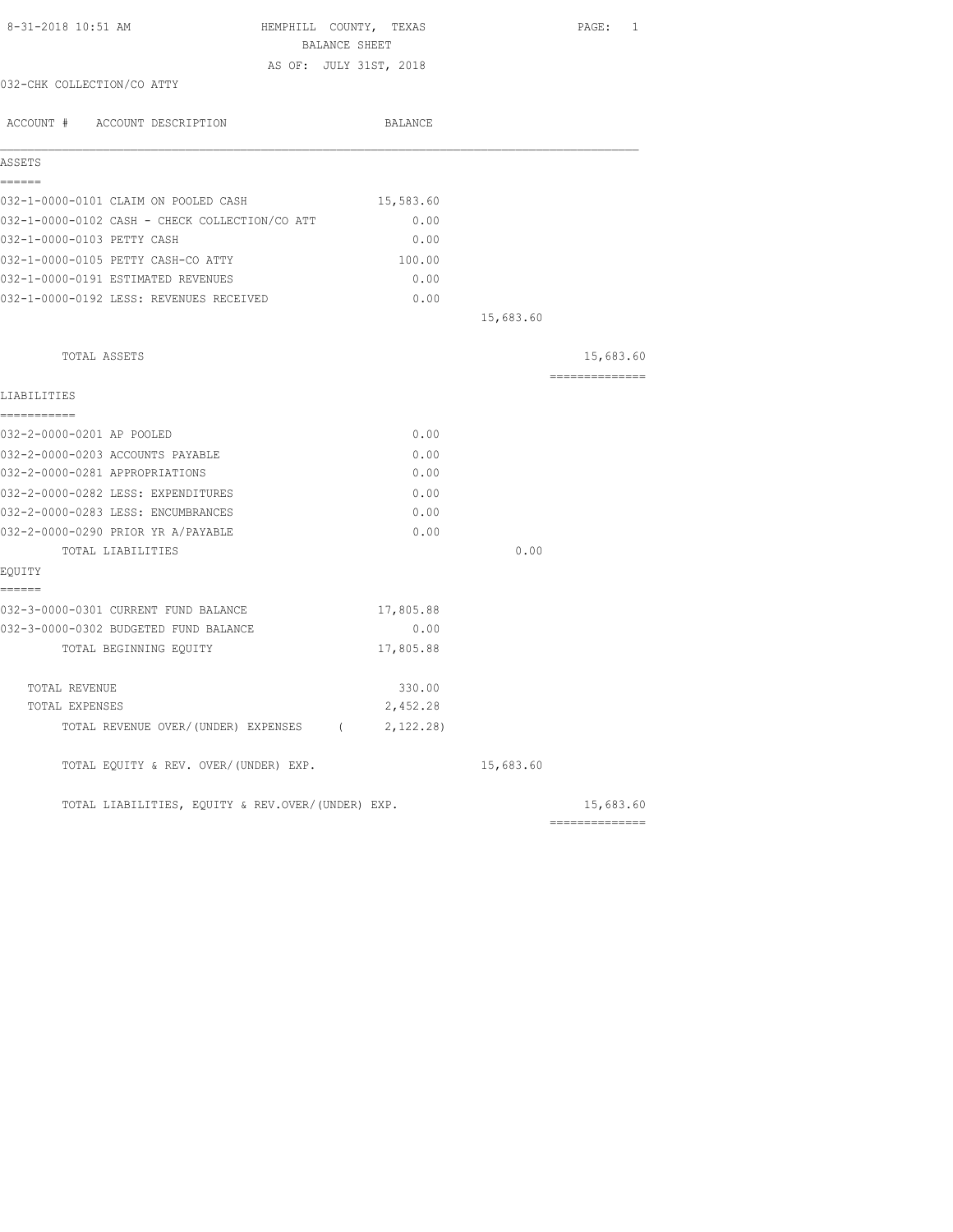| 8-31-2018 10:51 AM                                | HEMPHILL COUNTY, TEXAS<br>BALANCE SHEET |           | PAGE: 1        |
|---------------------------------------------------|-----------------------------------------|-----------|----------------|
|                                                   | AS OF: JULY 31ST, 2018                  |           |                |
| 032-CHK COLLECTION/CO ATTY                        |                                         |           |                |
| ACCOUNT # ACCOUNT DESCRIPTION                     | BALANCE                                 |           |                |
| ASSETS                                            |                                         |           |                |
| ======<br>032-1-0000-0101 CLAIM ON POOLED CASH    | 15,583.60                               |           |                |
| 032-1-0000-0102 CASH - CHECK COLLECTION/CO ATT    | 0.00                                    |           |                |
| 032-1-0000-0103 PETTY CASH                        | 0.00                                    |           |                |
| 032-1-0000-0105 PETTY CASH-CO ATTY                | 100.00                                  |           |                |
| 032-1-0000-0191 ESTIMATED REVENUES                | 0.00                                    |           |                |
| 032-1-0000-0192 LESS: REVENUES RECEIVED           | 0.00                                    |           |                |
|                                                   |                                         | 15,683.60 |                |
| TOTAL ASSETS                                      |                                         |           | 15,683.60      |
| LIABILITIES                                       |                                         |           | -------------- |
| ===========<br>032-2-0000-0201 AP POOLED          | 0.00                                    |           |                |
| 032-2-0000-0203 ACCOUNTS PAYABLE                  | 0.00                                    |           |                |
| 032-2-0000-0281 APPROPRIATIONS                    | 0.00                                    |           |                |
| 032-2-0000-0282 LESS: EXPENDITURES                | 0.00                                    |           |                |
| 032-2-0000-0283 LESS: ENCUMBRANCES                | 0.00                                    |           |                |
| 032-2-0000-0290 PRIOR YR A/PAYABLE                | 0.00                                    |           |                |
| TOTAL LIABILITIES                                 |                                         | 0.00      |                |
| EQUITY                                            |                                         |           |                |
| ======<br>032-3-0000-0301 CURRENT FUND BALANCE    | 17,805.88                               |           |                |
| 032-3-0000-0302 BUDGETED FUND BALANCE             | 0.00                                    |           |                |
| TOTAL BEGINNING EQUITY                            | 17,805.88                               |           |                |
| TOTAL REVENUE                                     | 330.00                                  |           |                |
| TOTAL EXPENSES                                    | 2,452.28                                |           |                |
| TOTAL REVENUE OVER/(UNDER) EXPENSES (             | 2,122.28)                               |           |                |
| TOTAL EQUITY & REV. OVER/(UNDER) EXP.             |                                         | 15,683.60 |                |
| TOTAL LIABILITIES, EQUITY & REV.OVER/(UNDER) EXP. |                                         |           | 15,683.60      |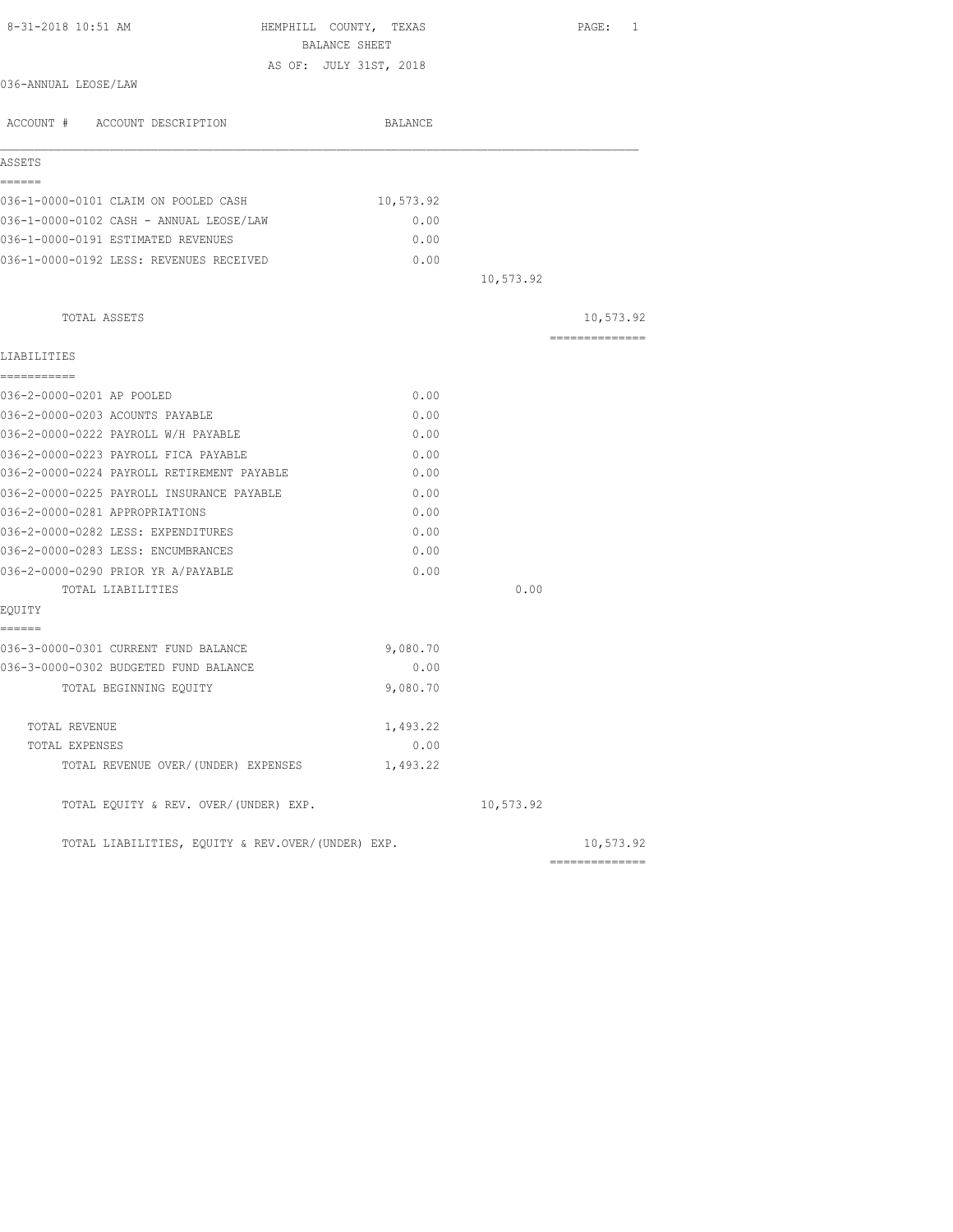| 8-31-2018 10:51 AM                                | HEMPHILL COUNTY, TEXAS<br>BALANCE SHEET |           | PAGE: 1        |
|---------------------------------------------------|-----------------------------------------|-----------|----------------|
|                                                   | AS OF: JULY 31ST, 2018                  |           |                |
| 036-ANNUAL LEOSE/LAW                              |                                         |           |                |
| ACCOUNT # ACCOUNT DESCRIPTION                     | BALANCE                                 |           |                |
| ASSETS                                            |                                         |           |                |
| ======                                            |                                         |           |                |
| 036-1-0000-0101 CLAIM ON POOLED CASH              | 10,573.92                               |           |                |
| 036-1-0000-0102 CASH - ANNUAL LEOSE/LAW           | 0.00                                    |           |                |
| 036-1-0000-0191 ESTIMATED REVENUES                | 0.00                                    |           |                |
| 036-1-0000-0192 LESS: REVENUES RECEIVED           | 0.00                                    |           |                |
|                                                   |                                         | 10,573.92 |                |
| TOTAL ASSETS                                      |                                         |           | 10,573.92      |
| LIABILITIES                                       |                                         |           | -------------- |
| -----------                                       |                                         |           |                |
| 036-2-0000-0201 AP POOLED                         | 0.00                                    |           |                |
| 036-2-0000-0203 ACOUNTS PAYABLE                   | 0.00                                    |           |                |
| 036-2-0000-0222 PAYROLL W/H PAYABLE               | 0.00                                    |           |                |
| 036-2-0000-0223 PAYROLL FICA PAYABLE              | 0.00                                    |           |                |
| 036-2-0000-0224 PAYROLL RETIREMENT PAYABLE        | 0.00                                    |           |                |
| 036-2-0000-0225 PAYROLL INSURANCE PAYABLE         | 0.00                                    |           |                |
| 036-2-0000-0281 APPROPRIATIONS                    | 0.00                                    |           |                |
| 036-2-0000-0282 LESS: EXPENDITURES                | 0.00                                    |           |                |
| 036-2-0000-0283 LESS: ENCUMBRANCES                | 0.00                                    |           |                |
| 036-2-0000-0290 PRIOR YR A/PAYABLE                | 0.00                                    |           |                |
| TOTAL LIABILITIES                                 |                                         | 0.00      |                |
| EQUITY                                            |                                         |           |                |
| ======                                            |                                         |           |                |
| 036-3-0000-0301 CURRENT FUND BALANCE              | 9,080.70                                |           |                |
| 036-3-0000-0302 BUDGETED FUND BALANCE             | 0.00                                    |           |                |
| TOTAL BEGINNING EQUITY                            | 9,080.70                                |           |                |
|                                                   |                                         |           |                |
| TOTAL REVENUE                                     | 1,493.22                                |           |                |
| TOTAL EXPENSES                                    | 0.00                                    |           |                |
| TOTAL REVENUE OVER/(UNDER) EXPENSES               | 1,493.22                                |           |                |
| TOTAL EQUITY & REV. OVER/(UNDER) EXP.             |                                         | 10,573.92 |                |
| TOTAL LIABILITIES, EQUITY & REV.OVER/(UNDER) EXP. |                                         |           | 10,573.92      |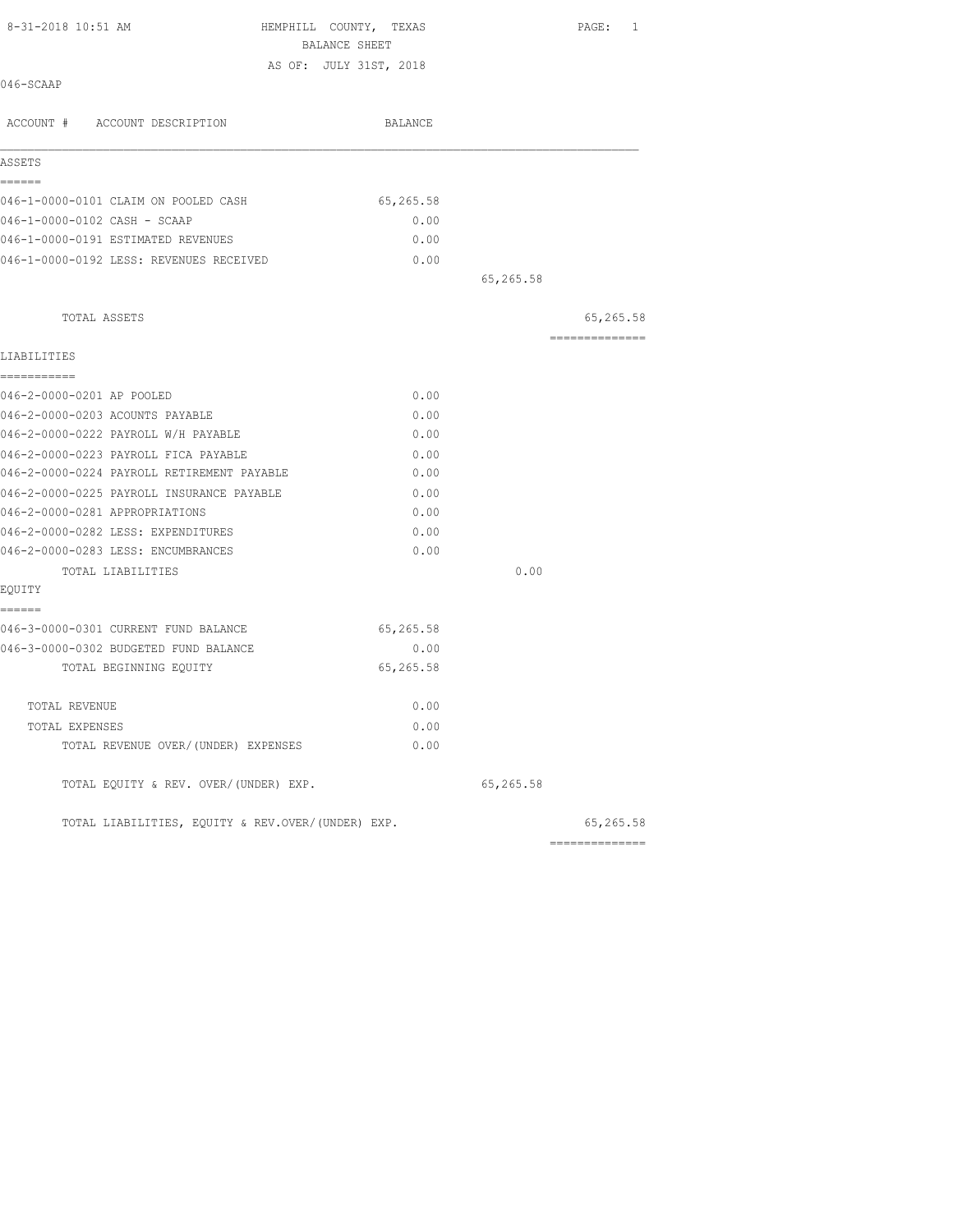| 8-31-2018 10:51 AM                                | HEMPHILL COUNTY, TEXAS |           | PAGE: 1        |
|---------------------------------------------------|------------------------|-----------|----------------|
|                                                   | BALANCE SHEET          |           |                |
| 046-SCAAP                                         | AS OF: JULY 31ST, 2018 |           |                |
|                                                   |                        |           |                |
| ACCOUNT # ACCOUNT DESCRIPTION                     | BALANCE                |           |                |
| ASSETS                                            |                        |           |                |
| ======                                            |                        |           |                |
| 046-1-0000-0101 CLAIM ON POOLED CASH              | 65,265.58              |           |                |
| 046-1-0000-0102 CASH - SCAAP                      | 0.00                   |           |                |
| 046-1-0000-0191 ESTIMATED REVENUES                | 0.00                   |           |                |
| 046-1-0000-0192 LESS: REVENUES RECEIVED           | 0.00                   |           |                |
|                                                   |                        | 65,265.58 |                |
| TOTAL ASSETS                                      |                        |           | 65,265.58      |
|                                                   |                        |           | ============== |
| LIABILITIES<br>-----------                        |                        |           |                |
| 046-2-0000-0201 AP POOLED                         | 0.00                   |           |                |
| 046-2-0000-0203 ACOUNTS PAYABLE                   | 0.00                   |           |                |
| 046-2-0000-0222 PAYROLL W/H PAYABLE               | 0.00                   |           |                |
| 046-2-0000-0223 PAYROLL FICA PAYABLE              | 0.00                   |           |                |
| 046-2-0000-0224 PAYROLL RETIREMENT PAYABLE        | 0.00                   |           |                |
| 046-2-0000-0225 PAYROLL INSURANCE PAYABLE         | 0.00                   |           |                |
| 046-2-0000-0281 APPROPRIATIONS                    | 0.00                   |           |                |
| 046-2-0000-0282 LESS: EXPENDITURES                | 0.00                   |           |                |
| 046-2-0000-0283 LESS: ENCUMBRANCES                | 0.00                   |           |                |
| TOTAL LIABILITIES                                 |                        | 0.00      |                |
| EQUITY                                            |                        |           |                |
| ======                                            |                        |           |                |
| 046-3-0000-0301 CURRENT FUND BALANCE              | 65,265.58              |           |                |
| 046-3-0000-0302 BUDGETED FUND BALANCE             | 0.00                   |           |                |
| TOTAL BEGINNING EQUITY                            | 65,265.58              |           |                |
| TOTAL REVENUE                                     | 0.00                   |           |                |
| TOTAL EXPENSES                                    | 0.00                   |           |                |
| TOTAL REVENUE OVER/(UNDER) EXPENSES               | 0.00                   |           |                |
| TOTAL EQUITY & REV. OVER/(UNDER) EXP.             |                        | 65,265.58 |                |
| TOTAL LIABILITIES, EOUITY & REV.OVER/(UNDER) EXP. |                        |           | 65,265.58      |
|                                                   |                        |           | ============== |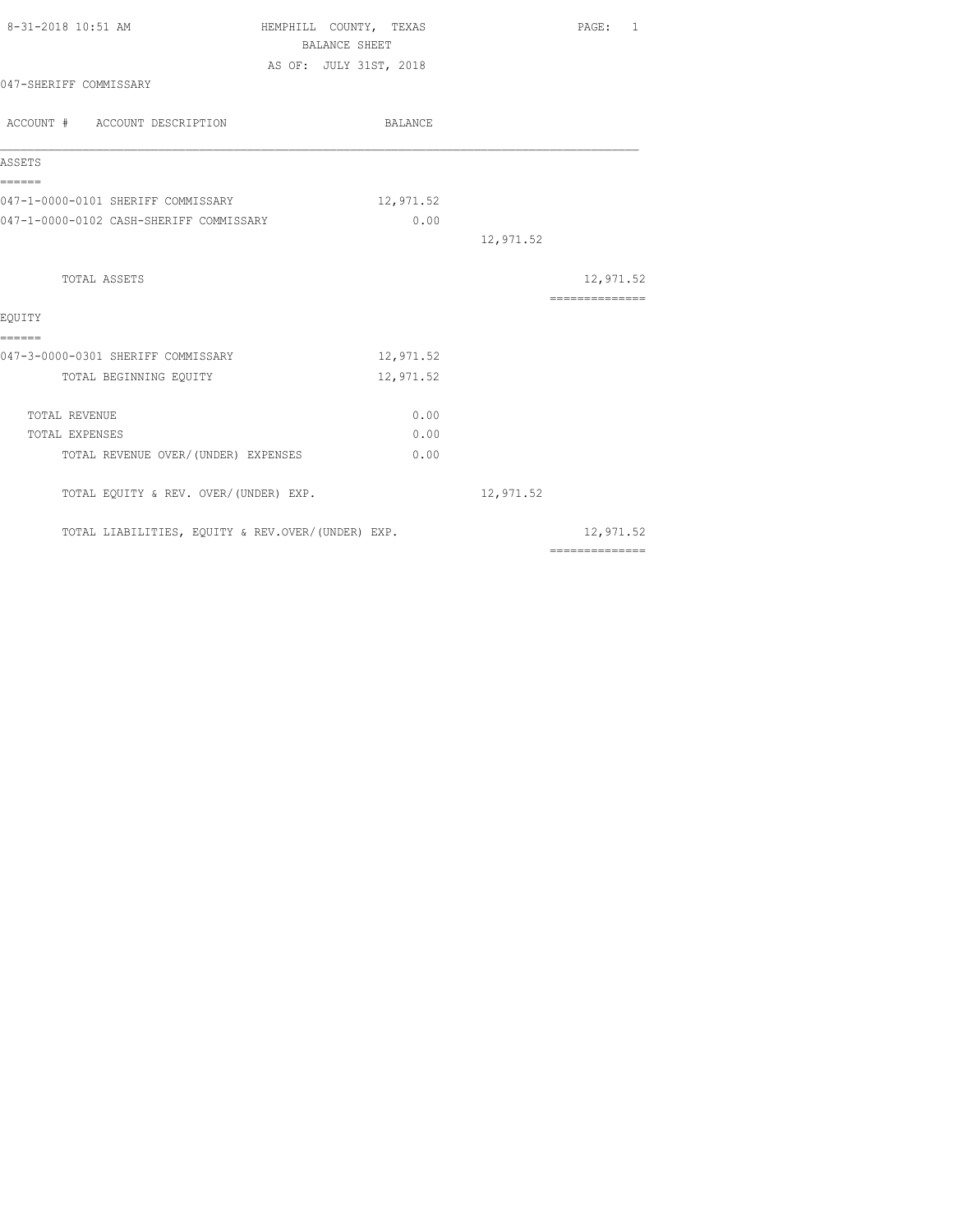| 8-31-2018 10:51 AM                                | HEMPHILL COUNTY, TEXAS<br>BALANCE SHEET |           | PAGE: 1                                                                                                                                                                                                                                                                                                                                                                                                                                                                                |
|---------------------------------------------------|-----------------------------------------|-----------|----------------------------------------------------------------------------------------------------------------------------------------------------------------------------------------------------------------------------------------------------------------------------------------------------------------------------------------------------------------------------------------------------------------------------------------------------------------------------------------|
|                                                   | AS OF: JULY 31ST, 2018                  |           |                                                                                                                                                                                                                                                                                                                                                                                                                                                                                        |
| 047-SHERIFF COMMISSARY                            |                                         |           |                                                                                                                                                                                                                                                                                                                                                                                                                                                                                        |
| ACCOUNT # ACCOUNT DESCRIPTION                     | BALANCE                                 |           |                                                                                                                                                                                                                                                                                                                                                                                                                                                                                        |
| ASSETS                                            |                                         |           |                                                                                                                                                                                                                                                                                                                                                                                                                                                                                        |
| ======<br>047-1-0000-0101 SHERIFF COMMISSARY      | 12,971.52                               |           |                                                                                                                                                                                                                                                                                                                                                                                                                                                                                        |
| 047-1-0000-0102 CASH-SHERIFF COMMISSARY           | 0.00                                    |           |                                                                                                                                                                                                                                                                                                                                                                                                                                                                                        |
|                                                   |                                         | 12,971.52 |                                                                                                                                                                                                                                                                                                                                                                                                                                                                                        |
| TOTAL ASSETS                                      |                                         |           | 12,971.52                                                                                                                                                                                                                                                                                                                                                                                                                                                                              |
|                                                   |                                         |           | $\begin{array}{cccccccccc} \multicolumn{2}{c}{} & \multicolumn{2}{c}{} & \multicolumn{2}{c}{} & \multicolumn{2}{c}{} & \multicolumn{2}{c}{} & \multicolumn{2}{c}{} & \multicolumn{2}{c}{} & \multicolumn{2}{c}{} & \multicolumn{2}{c}{} & \multicolumn{2}{c}{} & \multicolumn{2}{c}{} & \multicolumn{2}{c}{} & \multicolumn{2}{c}{} & \multicolumn{2}{c}{} & \multicolumn{2}{c}{} & \multicolumn{2}{c}{} & \multicolumn{2}{c}{} & \multicolumn{2}{c}{} & \multicolumn{2}{c}{} & \mult$ |
| EOUITY<br>======                                  |                                         |           |                                                                                                                                                                                                                                                                                                                                                                                                                                                                                        |
| 047-3-0000-0301 SHERIFF COMMISSARY                | 12,971.52                               |           |                                                                                                                                                                                                                                                                                                                                                                                                                                                                                        |
| TOTAL BEGINNING EQUITY                            | 12,971.52                               |           |                                                                                                                                                                                                                                                                                                                                                                                                                                                                                        |
| TOTAL REVENUE                                     | 0.00                                    |           |                                                                                                                                                                                                                                                                                                                                                                                                                                                                                        |
| TOTAL EXPENSES                                    | 0.00                                    |           |                                                                                                                                                                                                                                                                                                                                                                                                                                                                                        |
| TOTAL REVENUE OVER/ (UNDER) EXPENSES              | 0.00                                    |           |                                                                                                                                                                                                                                                                                                                                                                                                                                                                                        |
| TOTAL EQUITY & REV. OVER/(UNDER) EXP.             |                                         | 12,971.52 |                                                                                                                                                                                                                                                                                                                                                                                                                                                                                        |
| TOTAL LIABILITIES, EQUITY & REV.OVER/(UNDER) EXP. |                                         |           | 12,971.52<br>==============                                                                                                                                                                                                                                                                                                                                                                                                                                                            |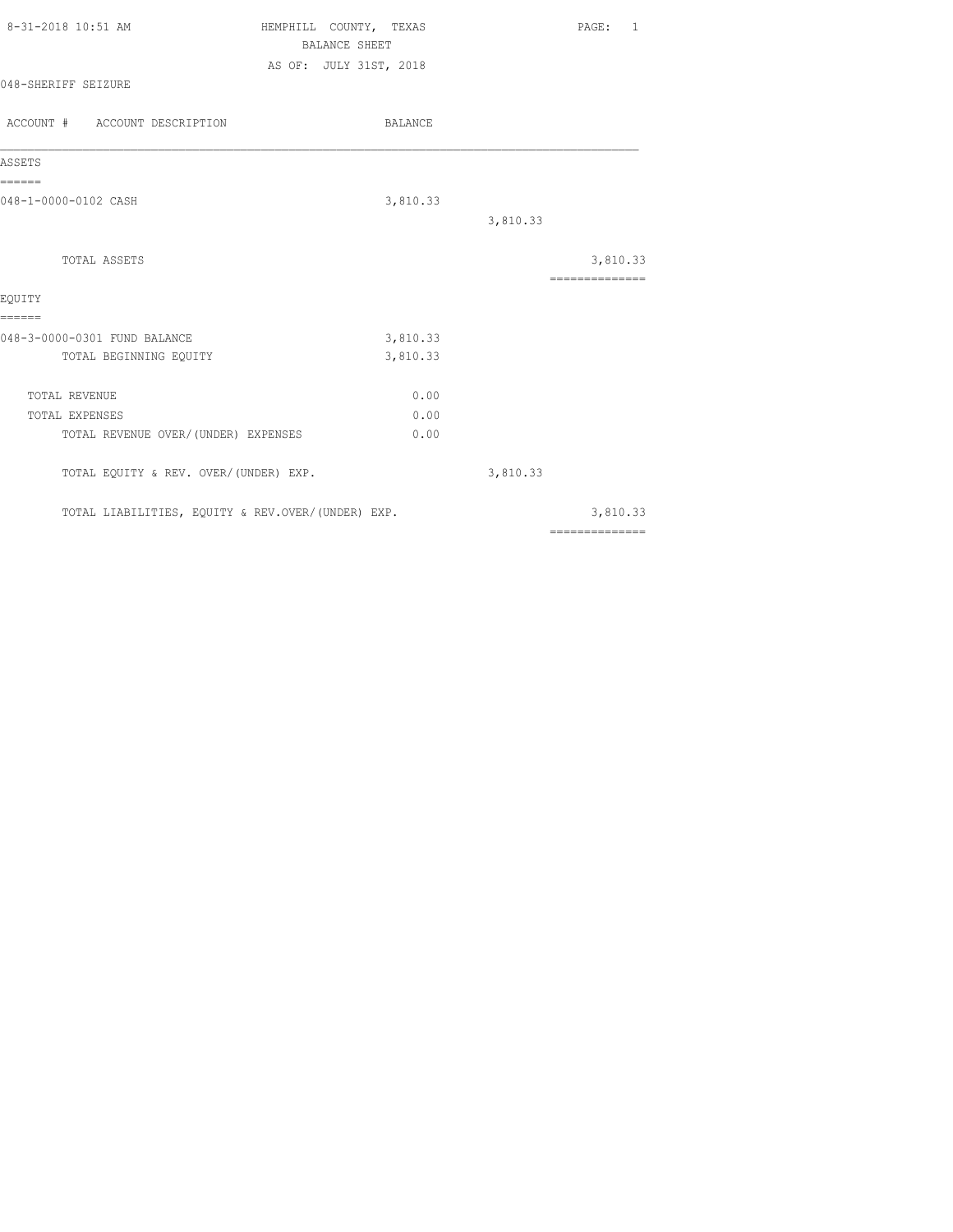| 8-31-2018 10:51 AM                                | HEMPHILL COUNTY, TEXAS<br>BALANCE SHEET<br>AS OF: JULY 31ST, 2018 |          |          | PAGE: 1                    |  |
|---------------------------------------------------|-------------------------------------------------------------------|----------|----------|----------------------------|--|
| 048-SHERIFF SEIZURE                               |                                                                   |          |          |                            |  |
| ACCOUNT # ACCOUNT DESCRIPTION                     |                                                                   | BALANCE  |          |                            |  |
| ASSETS                                            |                                                                   |          |          |                            |  |
| ======<br>048-1-0000-0102 CASH                    |                                                                   | 3,810.33 | 3,810.33 |                            |  |
| TOTAL ASSETS                                      |                                                                   |          |          | 3,810.33<br>============== |  |
| EQUITY<br>======                                  |                                                                   |          |          |                            |  |
| 048-3-0000-0301 FUND BALANCE                      |                                                                   | 3,810.33 |          |                            |  |
| TOTAL BEGINNING EQUITY                            |                                                                   | 3,810.33 |          |                            |  |
| TOTAL REVENUE                                     |                                                                   | 0.00     |          |                            |  |
| TOTAL EXPENSES                                    |                                                                   | 0.00     |          |                            |  |
| TOTAL REVENUE OVER/(UNDER) EXPENSES               |                                                                   | 0.00     |          |                            |  |
| TOTAL EQUITY & REV. OVER/(UNDER) EXP.             |                                                                   |          | 3,810.33 |                            |  |
| TOTAL LIABILITIES, EQUITY & REV.OVER/(UNDER) EXP. |                                                                   |          |          | 3,810.33                   |  |
|                                                   |                                                                   |          |          | ==============             |  |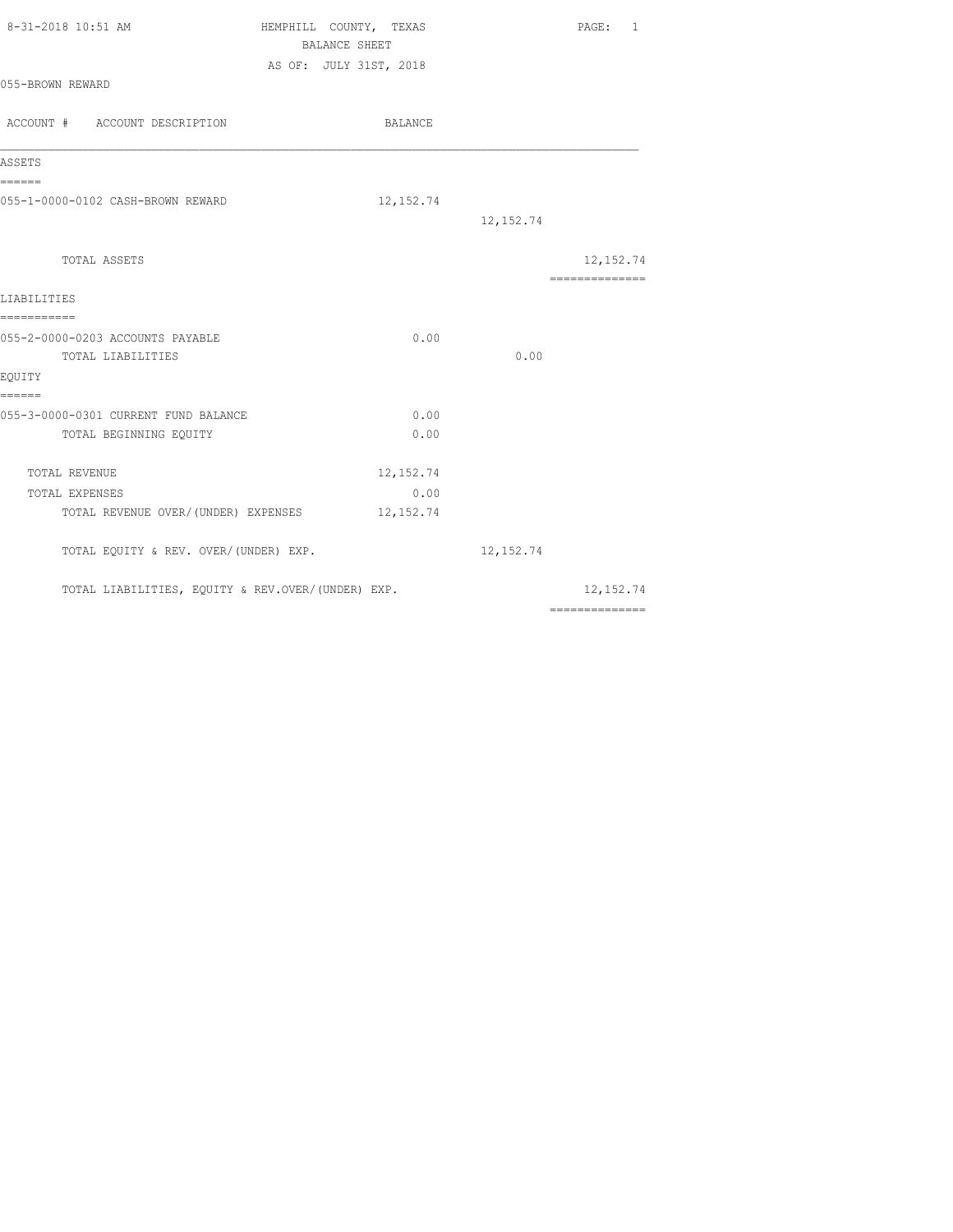| 8-31-2018 10:51 AM                                | HEMPHILL COUNTY, TEXAS<br>BALANCE SHEET |            |            | PAGE: 1                                                                                                                                                                                                                                                                                                                                                                                                                                                                                |
|---------------------------------------------------|-----------------------------------------|------------|------------|----------------------------------------------------------------------------------------------------------------------------------------------------------------------------------------------------------------------------------------------------------------------------------------------------------------------------------------------------------------------------------------------------------------------------------------------------------------------------------------|
| 055-BROWN REWARD                                  | AS OF: JULY 31ST, 2018                  |            |            |                                                                                                                                                                                                                                                                                                                                                                                                                                                                                        |
| ACCOUNT # ACCOUNT DESCRIPTION                     |                                         | BALANCE    |            |                                                                                                                                                                                                                                                                                                                                                                                                                                                                                        |
| ASSETS                                            |                                         |            |            |                                                                                                                                                                                                                                                                                                                                                                                                                                                                                        |
| ======                                            |                                         |            |            |                                                                                                                                                                                                                                                                                                                                                                                                                                                                                        |
| 055-1-0000-0102 CASH-BROWN REWARD                 |                                         | 12, 152.74 |            |                                                                                                                                                                                                                                                                                                                                                                                                                                                                                        |
|                                                   |                                         |            | 12, 152.74 |                                                                                                                                                                                                                                                                                                                                                                                                                                                                                        |
| TOTAL ASSETS                                      |                                         |            |            | 12, 152.74                                                                                                                                                                                                                                                                                                                                                                                                                                                                             |
|                                                   |                                         |            |            | $\begin{array}{cccccccccc} \multicolumn{2}{c}{} & \multicolumn{2}{c}{} & \multicolumn{2}{c}{} & \multicolumn{2}{c}{} & \multicolumn{2}{c}{} & \multicolumn{2}{c}{} & \multicolumn{2}{c}{} & \multicolumn{2}{c}{} & \multicolumn{2}{c}{} & \multicolumn{2}{c}{} & \multicolumn{2}{c}{} & \multicolumn{2}{c}{} & \multicolumn{2}{c}{} & \multicolumn{2}{c}{} & \multicolumn{2}{c}{} & \multicolumn{2}{c}{} & \multicolumn{2}{c}{} & \multicolumn{2}{c}{} & \multicolumn{2}{c}{} & \mult$ |
| LIABILITIES                                       |                                         |            |            |                                                                                                                                                                                                                                                                                                                                                                                                                                                                                        |
| ===========                                       |                                         |            |            |                                                                                                                                                                                                                                                                                                                                                                                                                                                                                        |
| 055-2-0000-0203 ACCOUNTS PAYABLE                  |                                         | 0.00       |            |                                                                                                                                                                                                                                                                                                                                                                                                                                                                                        |
| TOTAL LIABILITIES                                 |                                         |            | 0.00       |                                                                                                                                                                                                                                                                                                                                                                                                                                                                                        |
| EQUITY                                            |                                         |            |            |                                                                                                                                                                                                                                                                                                                                                                                                                                                                                        |
| ======<br>055-3-0000-0301 CURRENT FUND BALANCE    |                                         | 0.00       |            |                                                                                                                                                                                                                                                                                                                                                                                                                                                                                        |
| TOTAL BEGINNING EQUITY                            |                                         | 0.00       |            |                                                                                                                                                                                                                                                                                                                                                                                                                                                                                        |
|                                                   |                                         |            |            |                                                                                                                                                                                                                                                                                                                                                                                                                                                                                        |
| TOTAL REVENUE                                     |                                         | 12, 152.74 |            |                                                                                                                                                                                                                                                                                                                                                                                                                                                                                        |
| TOTAL EXPENSES                                    |                                         | 0.00       |            |                                                                                                                                                                                                                                                                                                                                                                                                                                                                                        |
| TOTAL REVENUE OVER/(UNDER) EXPENSES 12,152.74     |                                         |            |            |                                                                                                                                                                                                                                                                                                                                                                                                                                                                                        |
| TOTAL EQUITY & REV. OVER/(UNDER) EXP.             |                                         |            | 12, 152.74 |                                                                                                                                                                                                                                                                                                                                                                                                                                                                                        |
| TOTAL LIABILITIES, EQUITY & REV.OVER/(UNDER) EXP. |                                         |            |            | 12, 152.74                                                                                                                                                                                                                                                                                                                                                                                                                                                                             |
|                                                   |                                         |            |            | $\begin{array}{cccccccccc} \multicolumn{2}{c}{} & \multicolumn{2}{c}{} & \multicolumn{2}{c}{} & \multicolumn{2}{c}{} & \multicolumn{2}{c}{} & \multicolumn{2}{c}{} & \multicolumn{2}{c}{} & \multicolumn{2}{c}{} & \multicolumn{2}{c}{} & \multicolumn{2}{c}{} & \multicolumn{2}{c}{} & \multicolumn{2}{c}{} & \multicolumn{2}{c}{} & \multicolumn{2}{c}{} & \multicolumn{2}{c}{} & \multicolumn{2}{c}{} & \multicolumn{2}{c}{} & \multicolumn{2}{c}{} & \multicolumn{2}{c}{} & \mult$ |